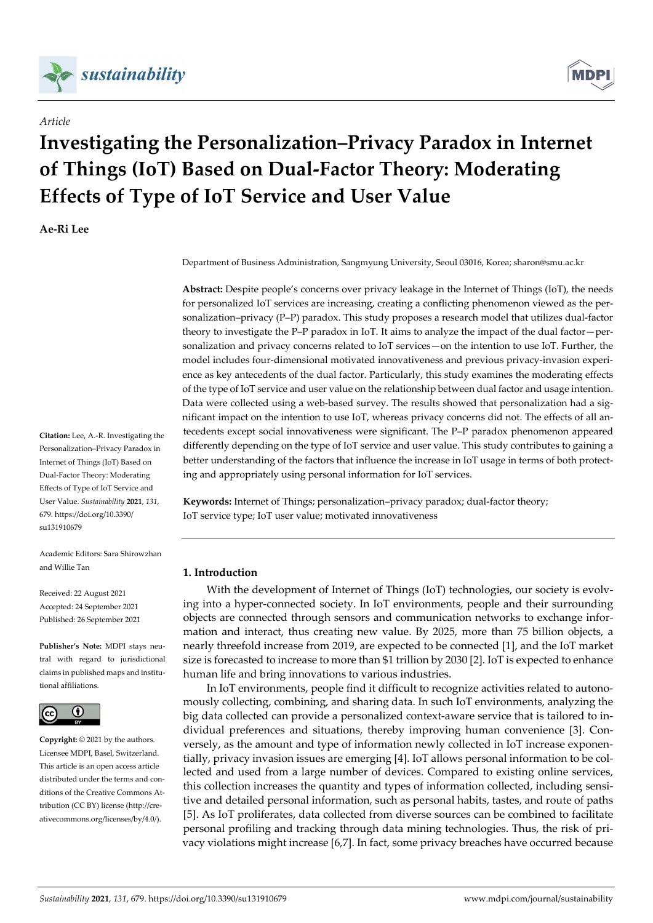

# *Article*

# **MDF**

# **Investigating the Personalization–Privacy Paradox in Internet of Things (IoT) Based on Dual‐Factor Theory: Moderating Effects of Type of IoT Service and User Value**

**Ae‐Ri Lee**

**Citation:** Lee, A.‐R. Investigating the Personalization–Privacy Paradox in Internet of Things (IoT) Based on Dual‐Factor Theory: Moderating Effects of Type of IoT Service and User Value. *Sustainability* **2021**, *131*, 679. https://doi.org/10.3390/ su131910679

Academic Editors: Sara Shirowzhan and Willie Tan

Received: 22 August 2021 Accepted: 24 September 2021 Published: 26 September 2021

**Publisher's Note:** MDPI stays neu‐ tral with regard to jurisdictional claims in published maps and institu‐ tional affiliations.



**Copyright:** © 2021 by the authors. Licensee MDPI, Basel, Switzerland. This article is an open access article distributed under the terms and con‐ ditions of the Creative Commons At‐ tribution (CC BY) license (http://cre‐ ativecommons.org/licenses/by/4.0/).

Department of Business Administration, Sangmyung University, Seoul 03016, Korea; sharon@smu.ac.kr

**Abstract:** Despite people's concerns over privacy leakage in the Internet of Things (IoT), the needs for personalized IoT services are increasing, creating a conflicting phenomenon viewed as the per‐ sonalization–privacy (P–P) paradox. This study proposes a research model that utilizes dual-factor theory to investigate the P–P paradox in IoT. It aims to analyze the impact of the dual factor—per‐ sonalization and privacy concerns related to IoT services—on the intention to use IoT. Further, the model includes four-dimensional motivated innovativeness and previous privacy-invasion experience as key antecedents of the dual factor. Particularly, this study examines the moderating effects of the type of IoT service and user value on the relationship between dual factor and usage intention. Data were collected using a web-based survey. The results showed that personalization had a significant impact on the intention to use IoT, whereas privacy concerns did not. The effects of all antecedents except social innovativeness were significant. The P–P paradox phenomenon appeared differently depending on the type of IoT service and user value. This study contributes to gaining a better understanding of the factors that influence the increase in IoT usage in terms of both protecting and appropriately using personal information for IoT services.

**Keywords:** Internet of Things; personalization–privacy paradox; dual‐factor theory; IoT service type; IoT user value; motivated innovativeness

# **1. Introduction**

With the development of Internet of Things (IoT) technologies, our society is evolving into a hyper‐connected society. In IoT environments, people and their surrounding objects are connected through sensors and communication networks to exchange infor‐ mation and interact, thus creating new value. By 2025, more than 75 billion objects, a nearly threefold increase from 2019, are expected to be connected [1], and the IoT market size is forecasted to increase to more than \$1 trillion by 2030 [2]. IoT is expected to enhance human life and bring innovations to various industries.

In IoT environments, people find it difficult to recognize activities related to autono‐ mously collecting, combining, and sharing data. In such IoT environments, analyzing the big data collected can provide a personalized context-aware service that is tailored to individual preferences and situations, thereby improving human convenience [3]. Conversely, as the amount and type of information newly collected in IoT increase exponen‐ tially, privacy invasion issues are emerging [4]. IoT allows personal information to be col‐ lected and used from a large number of devices. Compared to existing online services, this collection increases the quantity and types of information collected, including sensi‐ tive and detailed personal information, such as personal habits, tastes, and route of paths [5]. As IoT proliferates, data collected from diverse sources can be combined to facilitate personal profiling and tracking through data mining technologies. Thus, the risk of pri‐ vacy violations might increase [6,7]. In fact, some privacy breaches have occurred because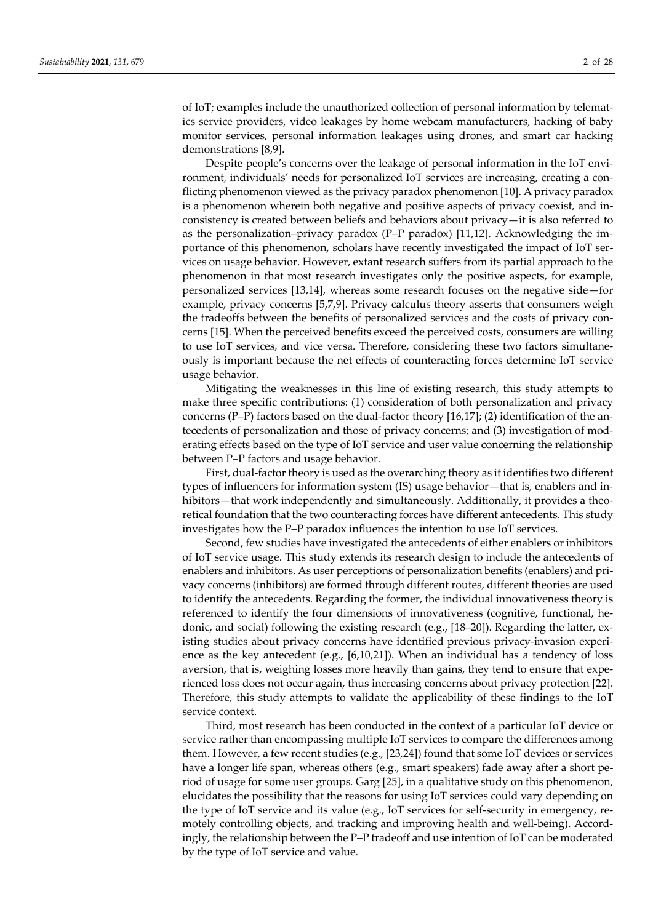of IoT; examples include the unauthorized collection of personal information by telemat‐ ics service providers, video leakages by home webcam manufacturers, hacking of baby monitor services, personal information leakages using drones, and smart car hacking demonstrations [8,9].

Despite people's concerns over the leakage of personal information in the IoT environment, individuals' needs for personalized IoT services are increasing, creating a con‐ flicting phenomenon viewed as the privacy paradox phenomenon [10]. A privacy paradox is a phenomenon wherein both negative and positive aspects of privacy coexist, and in‐ consistency is created between beliefs and behaviors about privacy—it is also referred to as the personalization–privacy paradox (P–P paradox) [11,12]. Acknowledging the im‐ portance of this phenomenon, scholars have recently investigated the impact of IoT services on usage behavior. However, extant research suffers from its partial approach to the phenomenon in that most research investigates only the positive aspects, for example, personalized services [13,14], whereas some research focuses on the negative side—for example, privacy concerns [5,7,9]. Privacy calculus theory asserts that consumers weigh the tradeoffs between the benefits of personalized services and the costs of privacy concerns [15]. When the perceived benefits exceed the perceived costs, consumers are willing to use IoT services, and vice versa. Therefore, considering these two factors simultane‐ ously is important because the net effects of counteracting forces determine IoT service usage behavior.

Mitigating the weaknesses in this line of existing research, this study attempts to make three specific contributions: (1) consideration of both personalization and privacy concerns (P–P) factors based on the dual-factor theory [16,17]; (2) identification of the antecedents of personalization and those of privacy concerns; and (3) investigation of mod‐ erating effects based on the type of IoT service and user value concerning the relationship between P–P factors and usage behavior.

First, dual-factor theory is used as the overarching theory as it identifies two different types of influencers for information system (IS) usage behavior—that is, enablers and in‐ hibitors—that work independently and simultaneously. Additionally, it provides a theoretical foundation that the two counteracting forces have different antecedents. This study investigates how the P–P paradox influences the intention to use IoT services.

Second, few studies have investigated the antecedents of either enablers or inhibitors of IoT service usage. This study extends its research design to include the antecedents of enablers and inhibitors. As user perceptions of personalization benefits (enablers) and pri‐ vacy concerns (inhibitors) are formed through different routes, different theories are used to identify the antecedents. Regarding the former, the individual innovativeness theory is referenced to identify the four dimensions of innovativeness (cognitive, functional, hedonic, and social) following the existing research (e.g., [18–20]). Regarding the latter, ex‐ isting studies about privacy concerns have identified previous privacy-invasion experience as the key antecedent (e.g., [6,10,21]). When an individual has a tendency of loss aversion, that is, weighing losses more heavily than gains, they tend to ensure that expe‐ rienced loss does not occur again, thus increasing concerns about privacy protection [22]. Therefore, this study attempts to validate the applicability of these findings to the IoT service context.

Third, most research has been conducted in the context of a particular IoT device or service rather than encompassing multiple IoT services to compare the differences among them. However, a few recent studies (e.g., [23,24]) found that some IoT devices or services have a longer life span, whereas others (e.g., smart speakers) fade away after a short period of usage for some user groups. Garg [25], in a qualitative study on this phenomenon, elucidates the possibility that the reasons for using IoT services could vary depending on the type of IoT service and its value (e.g., IoT services for self-security in emergency, remotely controlling objects, and tracking and improving health and well-being). Accordingly, the relationship between the P–P tradeoff and use intention of IoT can be moderated by the type of IoT service and value.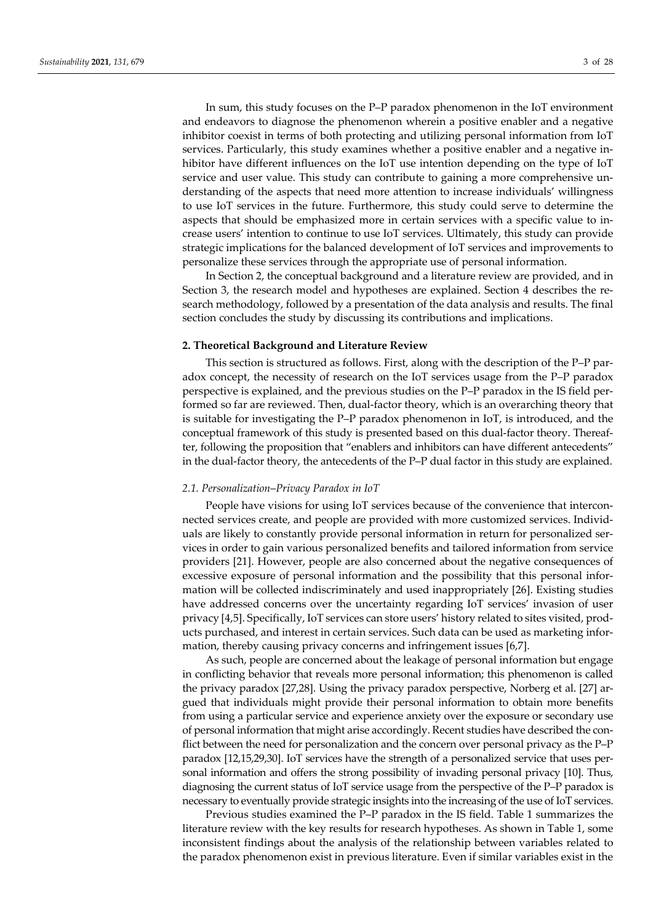In sum, this study focuses on the P–P paradox phenomenon in the IoT environment and endeavors to diagnose the phenomenon wherein a positive enabler and a negative inhibitor coexist in terms of both protecting and utilizing personal information from IoT services. Particularly, this study examines whether a positive enabler and a negative inhibitor have different influences on the IoT use intention depending on the type of IoT service and user value. This study can contribute to gaining a more comprehensive understanding of the aspects that need more attention to increase individuals' willingness to use IoT services in the future. Furthermore, this study could serve to determine the aspects that should be emphasized more in certain services with a specific value to in‐ crease users' intention to continue to use IoT services. Ultimately, this study can provide strategic implications for the balanced development of IoT services and improvements to personalize these services through the appropriate use of personal information.

In Section 2, the conceptual background and a literature review are provided, and in Section 3, the research model and hypotheses are explained. Section 4 describes the research methodology, followed by a presentation of the data analysis and results. The final section concludes the study by discussing its contributions and implications.

#### **2. Theoretical Background and Literature Review**

This section is structured as follows. First, along with the description of the P–P paradox concept, the necessity of research on the IoT services usage from the P–P paradox perspective is explained, and the previous studies on the P–P paradox in the IS field per‐ formed so far are reviewed. Then, dual-factor theory, which is an overarching theory that is suitable for investigating the P–P paradox phenomenon in IoT, is introduced, and the conceptual framework of this study is presented based on this dual-factor theory. Thereafter, following the proposition that "enablers and inhibitors can have different antecedents" in the dual-factor theory, the antecedents of the P-P dual factor in this study are explained.

#### *2.1. Personalization*–*Privacy Paradox in IoT*

People have visions for using IoT services because of the convenience that intercon‐ nected services create, and people are provided with more customized services. Individ‐ uals are likely to constantly provide personal information in return for personalized ser‐ vices in order to gain various personalized benefits and tailored information from service providers [21]. However, people are also concerned about the negative consequences of excessive exposure of personal information and the possibility that this personal information will be collected indiscriminately and used inappropriately [26]. Existing studies have addressed concerns over the uncertainty regarding IoT services' invasion of user privacy [4,5]. Specifically, IoT services can store users' history related to sites visited, prod‐ ucts purchased, and interest in certain services. Such data can be used as marketing infor‐ mation, thereby causing privacy concerns and infringement issues [6,7].

As such, people are concerned about the leakage of personal information but engage in conflicting behavior that reveals more personal information; this phenomenon is called the privacy paradox [27,28]. Using the privacy paradox perspective, Norberg et al. [27] argued that individuals might provide their personal information to obtain more benefits from using a particular service and experience anxiety over the exposure or secondary use of personal information that might arise accordingly. Recent studies have described the con‐ flict between the need for personalization and the concern over personal privacy as the P–P paradox [12,15,29,30]. IoT services have the strength of a personalized service that uses per‐ sonal information and offers the strong possibility of invading personal privacy [10]. Thus, diagnosing the current status of IoT service usage from the perspective of the P–P paradox is necessary to eventually provide strategic insights into the increasing of the use of IoT services.

Previous studies examined the P–P paradox in the IS field. Table 1 summarizes the literature review with the key results for research hypotheses. As shown in Table 1, some inconsistent findings about the analysis of the relationship between variables related to the paradox phenomenon exist in previous literature. Even if similar variables exist in the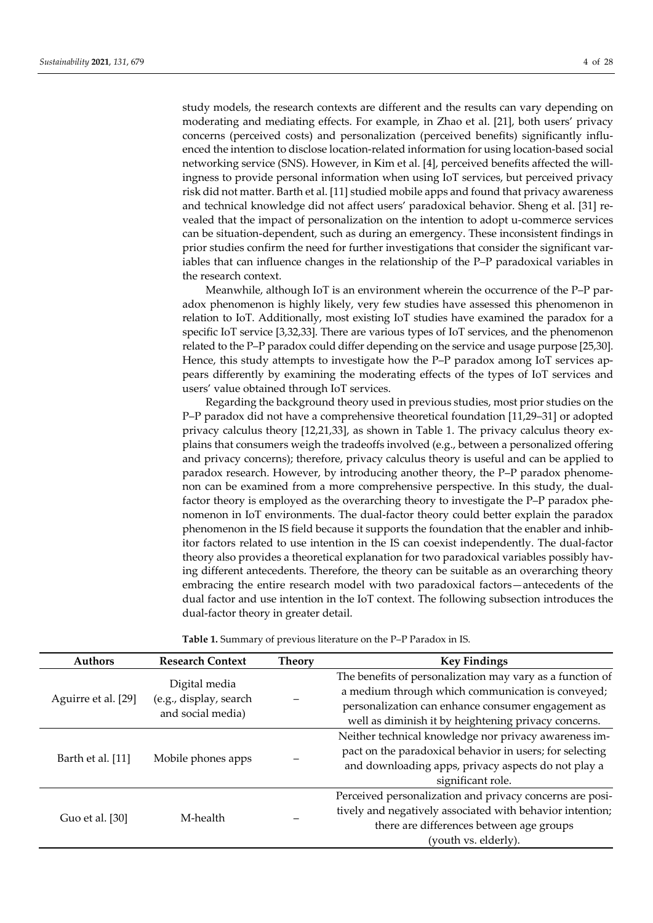study models, the research contexts are different and the results can vary depending on moderating and mediating effects. For example, in Zhao et al. [21], both users' privacy concerns (perceived costs) and personalization (perceived benefits) significantly influ‐ enced the intention to disclose location‐related information for using location‐based social networking service (SNS). However, in Kim et al. [4], perceived benefits affected the will‐ ingness to provide personal information when using IoT services, but perceived privacy risk did not matter. Barth et al. [11] studied mobile apps and found that privacy awareness and technical knowledge did not affect users' paradoxical behavior. Sheng et al. [31] re‐ vealed that the impact of personalization on the intention to adopt u‐commerce services can be situation‐dependent, such as during an emergency. These inconsistent findings in prior studies confirm the need for further investigations that consider the significant variables that can influence changes in the relationship of the P–P paradoxical variables in the research context.

Meanwhile, although IoT is an environment wherein the occurrence of the P–P paradox phenomenon is highly likely, very few studies have assessed this phenomenon in relation to IoT. Additionally, most existing IoT studies have examined the paradox for a specific IoT service [3,32,33]. There are various types of IoT services, and the phenomenon related to the P–P paradox could differ depending on the service and usage purpose [25,30]. Hence, this study attempts to investigate how the P–P paradox among IoT services appears differently by examining the moderating effects of the types of IoT services and users' value obtained through IoT services.

Regarding the background theory used in previous studies, most prior studies on the P–P paradox did not have a comprehensive theoretical foundation [11,29–31] or adopted privacy calculus theory [12,21,33], as shown in Table 1. The privacy calculus theory explains that consumers weigh the tradeoffs involved (e.g., between a personalized offering and privacy concerns); therefore, privacy calculus theory is useful and can be applied to paradox research. However, by introducing another theory, the P–P paradox phenome‐ non can be examined from a more comprehensive perspective. In this study, the dualfactor theory is employed as the overarching theory to investigate the P–P paradox phe‐ nomenon in IoT environments. The dual‐factor theory could better explain the paradox phenomenon in the IS field because it supports the foundation that the enabler and inhibitor factors related to use intention in the IS can coexist independently. The dual‐factor theory also provides a theoretical explanation for two paradoxical variables possibly hav‐ ing different antecedents. Therefore, the theory can be suitable as an overarching theory embracing the entire research model with two paradoxical factors—antecedents of the dual factor and use intention in the IoT context. The following subsection introduces the dual‐factor theory in greater detail.

| <b>Authors</b>      | <b>Research Context</b>                                      | Theory | <b>Key Findings</b>                                                                                                                                                                                                          |
|---------------------|--------------------------------------------------------------|--------|------------------------------------------------------------------------------------------------------------------------------------------------------------------------------------------------------------------------------|
| Aguirre et al. [29] | Digital media<br>(e.g., display, search<br>and social media) |        | The benefits of personalization may vary as a function of<br>a medium through which communication is conveyed;<br>personalization can enhance consumer engagement as<br>well as diminish it by heightening privacy concerns. |
| Barth et al. [11]   | Mobile phones apps                                           |        | Neither technical knowledge nor privacy awareness im-<br>pact on the paradoxical behavior in users; for selecting<br>and downloading apps, privacy aspects do not play a<br>significant role.                                |
| Guo et al. [30]     | M-health                                                     |        | Perceived personalization and privacy concerns are posi-<br>tively and negatively associated with behavior intention;<br>there are differences between age groups<br>(youth vs. elderly).                                    |

**Table 1.** Summary of previous literature on the P–P Paradox in IS.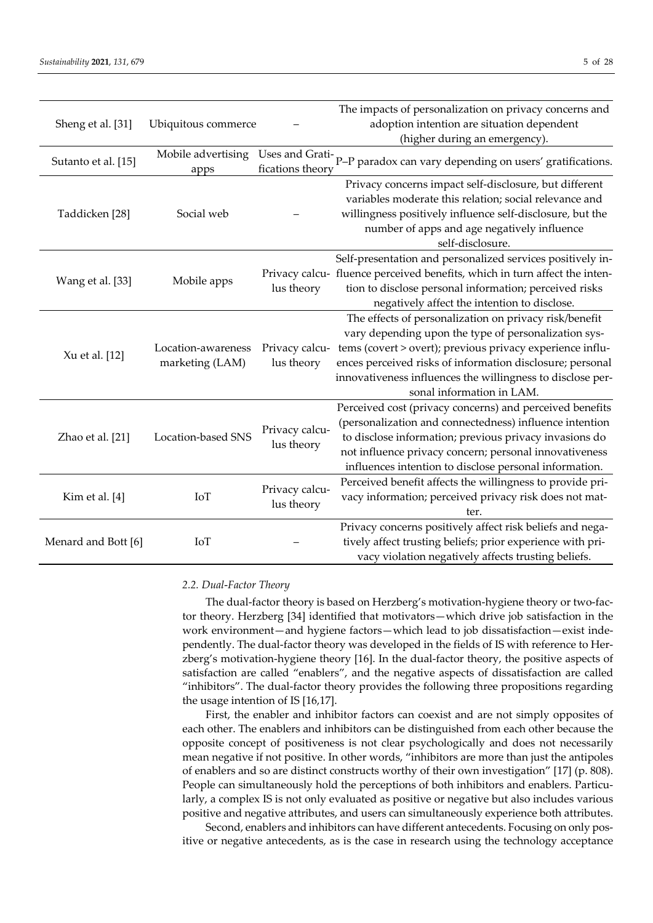| Sheng et al. [31]   | Ubiquitous commerce                   |                              | The impacts of personalization on privacy concerns and<br>adoption intention are situation dependent<br>(higher during an emergency).                                                                                                                                                                                               |
|---------------------|---------------------------------------|------------------------------|-------------------------------------------------------------------------------------------------------------------------------------------------------------------------------------------------------------------------------------------------------------------------------------------------------------------------------------|
| Sutanto et al. [15] | Mobile advertising<br>apps            |                              | Uses and Grati-<br>P-P paradox can vary depending on users' gratifications.                                                                                                                                                                                                                                                         |
| Taddicken [28]      | Social web                            |                              | Privacy concerns impact self-disclosure, but different<br>variables moderate this relation; social relevance and<br>willingness positively influence self-disclosure, but the<br>number of apps and age negatively influence<br>self-disclosure.                                                                                    |
| Wang et al. [33]    | Mobile apps                           | lus theory                   | Self-presentation and personalized services positively in-<br>Privacy calcu- fluence perceived benefits, which in turn affect the inten-<br>tion to disclose personal information; perceived risks<br>negatively affect the intention to disclose.                                                                                  |
| Xu et al. [12]      | Location-awareness<br>marketing (LAM) | Privacy calcu-<br>lus theory | The effects of personalization on privacy risk/benefit<br>vary depending upon the type of personalization sys-<br>tems (covert > overt); previous privacy experience influ-<br>ences perceived risks of information disclosure; personal<br>innovativeness influences the willingness to disclose per-<br>sonal information in LAM. |
| Zhao et al. [21]    | Location-based SNS                    | Privacy calcu-<br>lus theory | Perceived cost (privacy concerns) and perceived benefits<br>(personalization and connectedness) influence intention<br>to disclose information; previous privacy invasions do<br>not influence privacy concern; personal innovativeness<br>influences intention to disclose personal information.                                   |
| Kim et al. [4]      | IoT                                   | Privacy calcu-<br>lus theory | Perceived benefit affects the willingness to provide pri-<br>vacy information; perceived privacy risk does not mat-<br>ter.                                                                                                                                                                                                         |
| Menard and Bott [6] | IoT                                   |                              | Privacy concerns positively affect risk beliefs and nega-<br>tively affect trusting beliefs; prior experience with pri-<br>vacy violation negatively affects trusting beliefs.                                                                                                                                                      |

#### *2.2. Dual*‐*Factor Theory*

The dual-factor theory is based on Herzberg's motivation-hygiene theory or two-factor theory. Herzberg [34] identified that motivators—which drive job satisfaction in the work environment—and hygiene factors—which lead to job dissatisfaction—exist independently. The dual-factor theory was developed in the fields of IS with reference to Herzberg's motivation-hygiene theory [16]. In the dual-factor theory, the positive aspects of satisfaction are called "enablers", and the negative aspects of dissatisfaction are called "inhibitors". The dual‐factor theory provides the following three propositions regarding the usage intention of IS [16,17].

First, the enabler and inhibitor factors can coexist and are not simply opposites of each other. The enablers and inhibitors can be distinguished from each other because the opposite concept of positiveness is not clear psychologically and does not necessarily mean negative if not positive. In other words, "inhibitors are more than just the antipoles of enablers and so are distinct constructs worthy of their own investigation" [17] (p. 808). People can simultaneously hold the perceptions of both inhibitors and enablers. Particularly, a complex IS is not only evaluated as positive or negative but also includes various positive and negative attributes, and users can simultaneously experience both attributes.

Second, enablers and inhibitors can have different antecedents. Focusing on only positive or negative antecedents, as is the case in research using the technology acceptance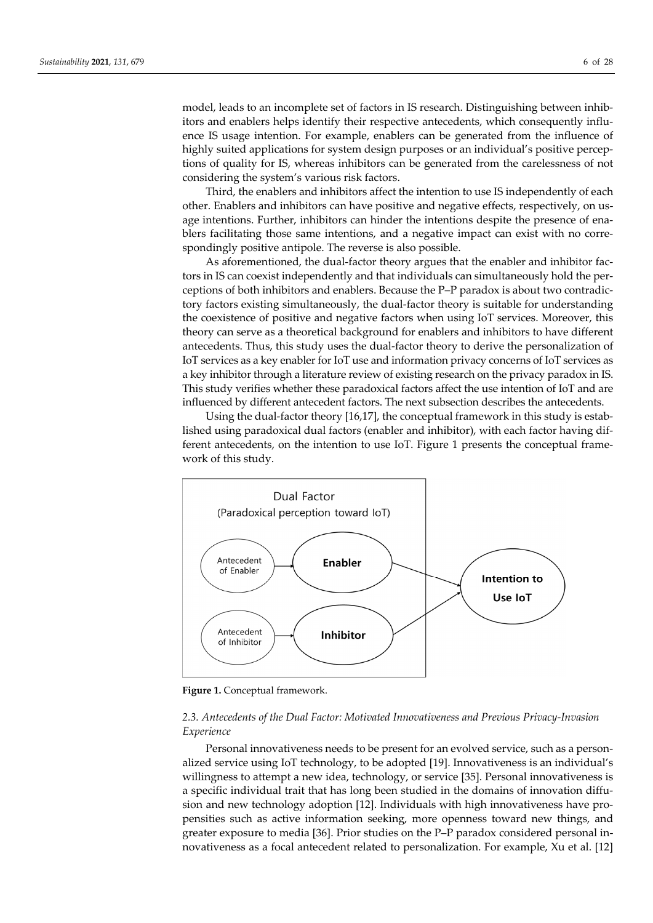Third, the enablers and inhibitors affect the intention to use IS independently of each other. Enablers and inhibitors can have positive and negative effects, respectively, on us‐ age intentions. Further, inhibitors can hinder the intentions despite the presence of enablers facilitating those same intentions, and a negative impact can exist with no correspondingly positive antipole. The reverse is also possible.

As aforementioned, the dual‐factor theory argues that the enabler and inhibitor fac‐ tors in IS can coexist independently and that individuals can simultaneously hold the per‐ ceptions of both inhibitors and enablers. Because the P–P paradox is about two contradic‐ tory factors existing simultaneously, the dual‐factor theory is suitable for understanding the coexistence of positive and negative factors when using IoT services. Moreover, this theory can serve as a theoretical background for enablers and inhibitors to have different antecedents. Thus, this study uses the dual‐factor theory to derive the personalization of IoT services as a key enabler for IoT use and information privacy concerns of IoT services as a key inhibitor through a literature review of existing research on the privacy paradox in IS. This study verifies whether these paradoxical factors affect the use intention of IoT and are influenced by different antecedent factors. The next subsection describes the antecedents.

Using the dual-factor theory  $[16,17]$ , the conceptual framework in this study is established using paradoxical dual factors (enabler and inhibitor), with each factor having dif‐ ferent antecedents, on the intention to use IoT. Figure 1 presents the conceptual frame‐ work of this study.



**Figure 1.** Conceptual framework.

# *2.3. Antecedents of the Dual Factor: Motivated Innovativeness and Previous Privacy‐Invasion Experience*

Personal innovativeness needs to be present for an evolved service, such as a personalized service using IoT technology, to be adopted [19]. Innovativeness is an individual's willingness to attempt a new idea, technology, or service [35]. Personal innovativeness is a specific individual trait that has long been studied in the domains of innovation diffusion and new technology adoption [12]. Individuals with high innovativeness have pro‐ pensities such as active information seeking, more openness toward new things, and greater exposure to media [36]. Prior studies on the P–P paradox considered personal in‐ novativeness as a focal antecedent related to personalization. For example, Xu et al. [12]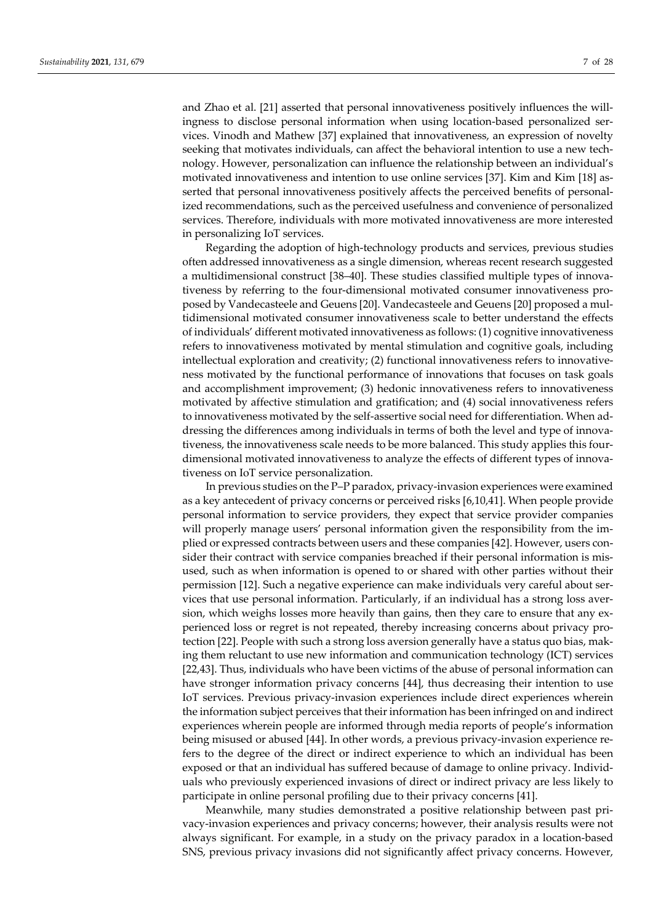and Zhao et al. [21] asserted that personal innovativeness positively influences the willingness to disclose personal information when using location-based personalized services. Vinodh and Mathew [37] explained that innovativeness, an expression of novelty seeking that motivates individuals, can affect the behavioral intention to use a new technology. However, personalization can influence the relationship between an individual's motivated innovativeness and intention to use online services [37]. Kim and Kim [18] as‐ serted that personal innovativeness positively affects the perceived benefits of personal‐ ized recommendations, such as the perceived usefulness and convenience of personalized services. Therefore, individuals with more motivated innovativeness are more interested in personalizing IoT services.

Regarding the adoption of high‐technology products and services, previous studies often addressed innovativeness as a single dimension, whereas recent research suggested a multidimensional construct [38–40]. These studies classified multiple types of innova‐ tiveness by referring to the four-dimensional motivated consumer innovativeness proposed by Vandecasteele and Geuens [20]. Vandecasteele and Geuens [20] proposed a mul‐ tidimensional motivated consumer innovativeness scale to better understand the effects of individuals' different motivated innovativeness as follows: (1) cognitive innovativeness refers to innovativeness motivated by mental stimulation and cognitive goals, including intellectual exploration and creativity; (2) functional innovativeness refers to innovativeness motivated by the functional performance of innovations that focuses on task goals and accomplishment improvement; (3) hedonic innovativeness refers to innovativeness motivated by affective stimulation and gratification; and (4) social innovativeness refers to innovativeness motivated by the self-assertive social need for differentiation. When addressing the differences among individuals in terms of both the level and type of innovativeness, the innovativeness scale needs to be more balanced. This study applies this four‐ dimensional motivated innovativeness to analyze the effects of different types of innovativeness on IoT service personalization.

In previous studies on the P–P paradox, privacy‐invasion experiences were examined as a key antecedent of privacy concerns or perceived risks [6,10,41]. When people provide personal information to service providers, they expect that service provider companies will properly manage users' personal information given the responsibility from the implied or expressed contracts between users and these companies [42]. However, users con‐ sider their contract with service companies breached if their personal information is misused, such as when information is opened to or shared with other parties without their permission [12]. Such a negative experience can make individuals very careful about ser‐ vices that use personal information. Particularly, if an individual has a strong loss aver‐ sion, which weighs losses more heavily than gains, then they care to ensure that any ex‐ perienced loss or regret is not repeated, thereby increasing concerns about privacy pro‐ tection [22]. People with such a strong loss aversion generally have a status quo bias, mak‐ ing them reluctant to use new information and communication technology (ICT) services [22,43]. Thus, individuals who have been victims of the abuse of personal information can have stronger information privacy concerns [44], thus decreasing their intention to use IoT services. Previous privacy‐invasion experiences include direct experiences wherein the information subject perceives that their information has been infringed on and indirect experiences wherein people are informed through media reports of people's information being misused or abused [44]. In other words, a previous privacy-invasion experience refers to the degree of the direct or indirect experience to which an individual has been exposed or that an individual has suffered because of damage to online privacy. Individ‐ uals who previously experienced invasions of direct or indirect privacy are less likely to participate in online personal profiling due to their privacy concerns [41].

Meanwhile, many studies demonstrated a positive relationship between past pri‐ vacy‐invasion experiences and privacy concerns; however, their analysis results were not always significant. For example, in a study on the privacy paradox in a location‐based SNS, previous privacy invasions did not significantly affect privacy concerns. However,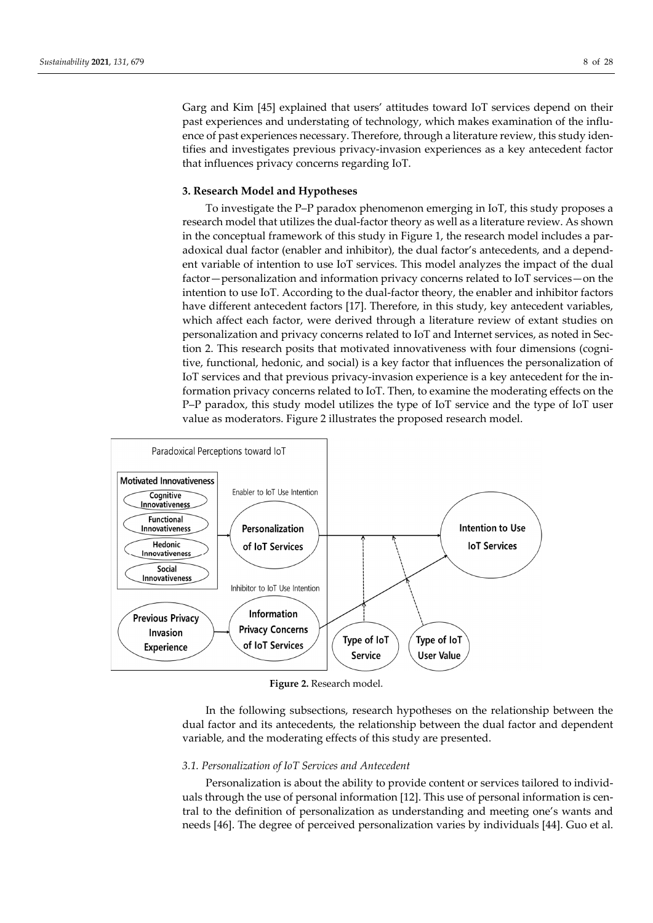Garg and Kim [45] explained that users' attitudes toward IoT services depend on their past experiences and understating of technology, which makes examination of the influence of past experiences necessary. Therefore, through a literature review, this study identifies and investigates previous privacy‐invasion experiences as a key antecedent factor that influences privacy concerns regarding IoT.

#### **3. Research Model and Hypotheses**

To investigate the P–P paradox phenomenon emerging in IoT, this study proposes a research model that utilizes the dual‐factor theory as well as a literature review. As shown in the conceptual framework of this study in Figure 1, the research model includes a paradoxical dual factor (enabler and inhibitor), the dual factor's antecedents, and a depend‐ ent variable of intention to use IoT services. This model analyzes the impact of the dual factor—personalization and information privacy concerns related to IoT services—on the intention to use IoT. According to the dual‐factor theory, the enabler and inhibitor factors have different antecedent factors [17]. Therefore, in this study, key antecedent variables, which affect each factor, were derived through a literature review of extant studies on personalization and privacy concerns related to IoT and Internet services, as noted in Sec‐ tion 2. This research posits that motivated innovativeness with four dimensions (cognitive, functional, hedonic, and social) is a key factor that influences the personalization of IoT services and that previous privacy‐invasion experience is a key antecedent for the in‐ formation privacy concerns related to IoT. Then, to examine the moderating effects on the P–P paradox, this study model utilizes the type of IoT service and the type of IoT user value as moderators. Figure 2 illustrates the proposed research model.



**Figure 2.** Research model.

In the following subsections, research hypotheses on the relationship between the dual factor and its antecedents, the relationship between the dual factor and dependent variable, and the moderating effects of this study are presented.

#### *3.1. Personalization of IoT Services and Antecedent*

Personalization is about the ability to provide content or services tailored to individuals through the use of personal information [12]. This use of personal information is central to the definition of personalization as understanding and meeting one's wants and needs [46]. The degree of perceived personalization varies by individuals [44]. Guo et al.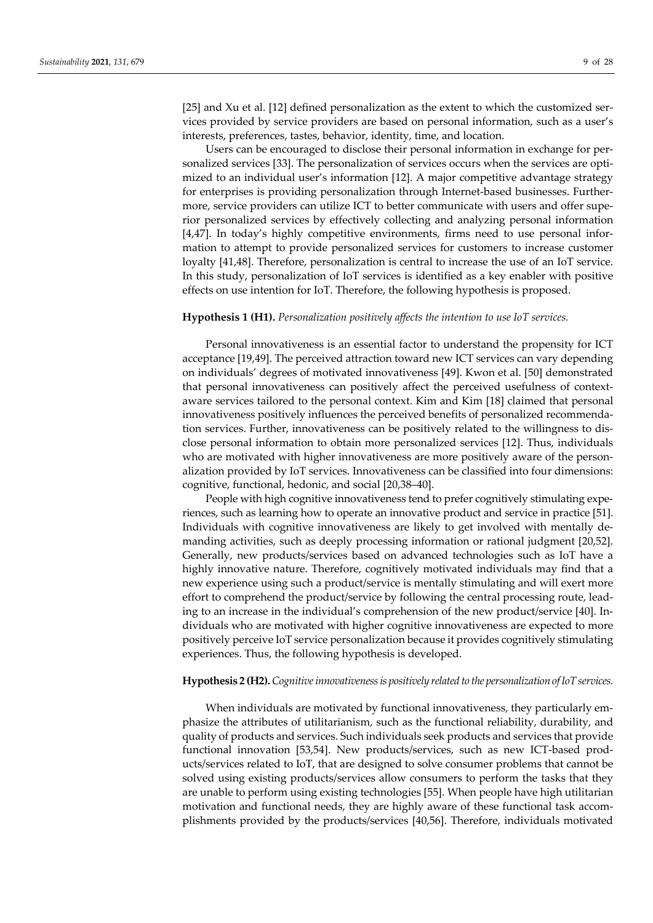[25] and Xu et al. [12] defined personalization as the extent to which the customized services provided by service providers are based on personal information, such as a user's interests, preferences, tastes, behavior, identity, time, and location.

Users can be encouraged to disclose their personal information in exchange for per‐ sonalized services [33]. The personalization of services occurs when the services are optimized to an individual user's information [12]. A major competitive advantage strategy for enterprises is providing personalization through Internet-based businesses. Furthermore, service providers can utilize ICT to better communicate with users and offer superior personalized services by effectively collecting and analyzing personal information [4,47]. In today's highly competitive environments, firms need to use personal information to attempt to provide personalized services for customers to increase customer loyalty [41,48]. Therefore, personalization is central to increase the use of an IoT service. In this study, personalization of IoT services is identified as a key enabler with positive effects on use intention for IoT. Therefore, the following hypothesis is proposed.

#### **Hypothesis 1 (H1).** *Personalization positively affects the intention to use IoT services.*

Personal innovativeness is an essential factor to understand the propensity for ICT acceptance [19,49]. The perceived attraction toward new ICT services can vary depending on individuals' degrees of motivated innovativeness [49]. Kwon et al. [50] demonstrated that personal innovativeness can positively affect the perceived usefulness of context‐ aware services tailored to the personal context. Kim and Kim [18] claimed that personal innovativeness positively influences the perceived benefits of personalized recommenda‐ tion services. Further, innovativeness can be positively related to the willingness to dis‐ close personal information to obtain more personalized services [12]. Thus, individuals who are motivated with higher innovativeness are more positively aware of the personalization provided by IoT services. Innovativeness can be classified into four dimensions: cognitive, functional, hedonic, and social [20,38–40].

People with high cognitive innovativeness tend to prefer cognitively stimulating experiences, such as learning how to operate an innovative product and service in practice [51]. Individuals with cognitive innovativeness are likely to get involved with mentally de‐ manding activities, such as deeply processing information or rational judgment [20,52]. Generally, new products/services based on advanced technologies such as IoT have a highly innovative nature. Therefore, cognitively motivated individuals may find that a new experience using such a product/service is mentally stimulating and will exert more effort to comprehend the product/service by following the central processing route, lead‐ ing to an increase in the individual's comprehension of the new product/service [40]. In‐ dividuals who are motivated with higher cognitive innovativeness are expected to more positively perceive IoT service personalization because it provides cognitively stimulating experiences. Thus, the following hypothesis is developed.

# **Hypothesis 2 (H2).***Cognitiveinnovativenessis positively related to the personalization ofIoT services.*

When individuals are motivated by functional innovativeness, they particularly emphasize the attributes of utilitarianism, such as the functional reliability, durability, and quality of products and services. Such individuals seek products and services that provide functional innovation [53,54]. New products/services, such as new ICT-based products/services related to IoT, that are designed to solve consumer problems that cannot be solved using existing products/services allow consumers to perform the tasks that they are unable to perform using existing technologies [55]. When people have high utilitarian motivation and functional needs, they are highly aware of these functional task accomplishments provided by the products/services [40,56]. Therefore, individuals motivated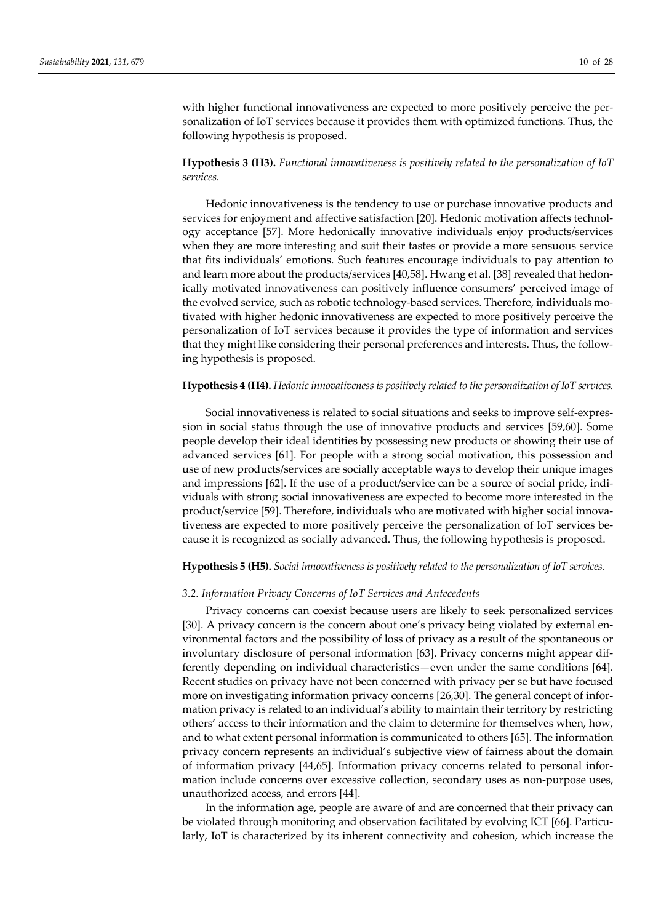with higher functional innovativeness are expected to more positively perceive the personalization of IoT services because it provides them with optimized functions. Thus, the following hypothesis is proposed.

# **Hypothesis 3 (H3).** *Functional innovativeness is positively related to the personalization of IoT services.*

Hedonic innovativeness is the tendency to use or purchase innovative products and services for enjoyment and affective satisfaction [20]. Hedonic motivation affects technology acceptance [57]. More hedonically innovative individuals enjoy products/services when they are more interesting and suit their tastes or provide a more sensuous service that fits individuals' emotions. Such features encourage individuals to pay attention to and learn more about the products/services [40,58]. Hwang et al. [38] revealed that hedonically motivated innovativeness can positively influence consumers' perceived image of the evolved service, such as robotic technology-based services. Therefore, individuals motivated with higher hedonic innovativeness are expected to more positively perceive the personalization of IoT services because it provides the type of information and services that they might like considering their personal preferences and interests. Thus, the follow‐ ing hypothesis is proposed.

#### **Hypothesis 4 (H4).** *Hedonic innovativeness is positively related to the personalization of IoT services.*

Social innovativeness is related to social situations and seeks to improve self‐expres‐ sion in social status through the use of innovative products and services [59,60]. Some people develop their ideal identities by possessing new products or showing their use of advanced services [61]. For people with a strong social motivation, this possession and use of new products/services are socially acceptable ways to develop their unique images and impressions [62]. If the use of a product/service can be a source of social pride, individuals with strong social innovativeness are expected to become more interested in the product/service [59]. Therefore, individuals who are motivated with higher social innovativeness are expected to more positively perceive the personalization of IoT services be‐ cause it is recognized as socially advanced. Thus, the following hypothesis is proposed.

#### **Hypothesis 5 (H5).** *Social innovativeness is positively related to the personalization of IoT services.*

#### *3.2. Information Privacy Concerns of IoT Services and Antecedents*

Privacy concerns can coexist because users are likely to seek personalized services [30]. A privacy concern is the concern about one's privacy being violated by external environmental factors and the possibility of loss of privacy as a result of the spontaneous or involuntary disclosure of personal information [63]. Privacy concerns might appear dif‐ ferently depending on individual characteristics—even under the same conditions [64]. Recent studies on privacy have not been concerned with privacy per se but have focused more on investigating information privacy concerns [26,30]. The general concept of information privacy is related to an individual's ability to maintain their territory by restricting others' access to their information and the claim to determine for themselves when, how, and to what extent personal information is communicated to others [65]. The information privacy concern represents an individual's subjective view of fairness about the domain of information privacy [44,65]. Information privacy concerns related to personal infor‐ mation include concerns over excessive collection, secondary uses as non-purpose uses, unauthorized access, and errors [44].

In the information age, people are aware of and are concerned that their privacy can be violated through monitoring and observation facilitated by evolving ICT [66]. Particularly, IoT is characterized by its inherent connectivity and cohesion, which increase the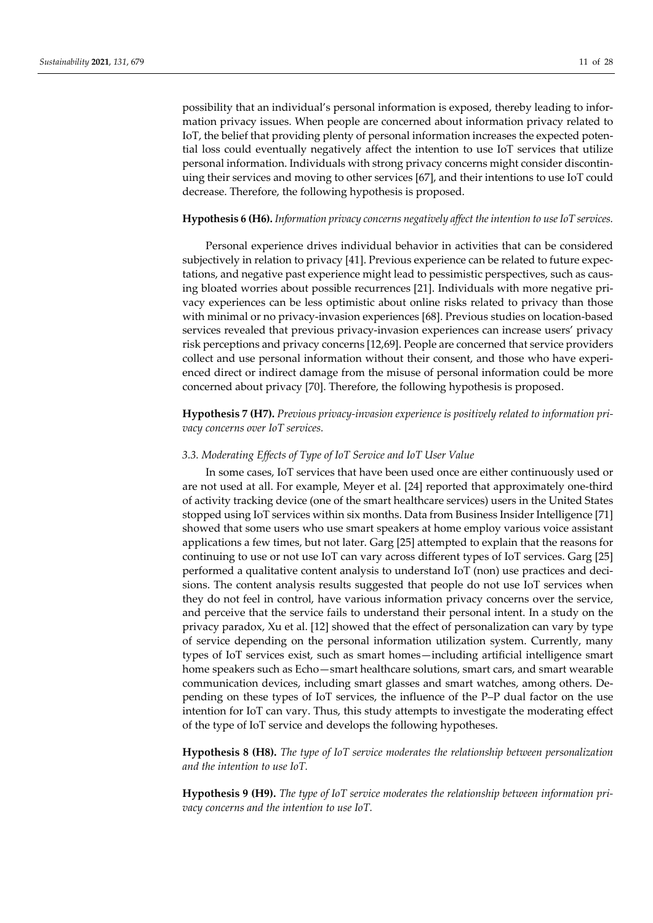possibility that an individual's personal information is exposed, thereby leading to infor‐ mation privacy issues. When people are concerned about information privacy related to IoT, the belief that providing plenty of personal information increases the expected poten‐ tial loss could eventually negatively affect the intention to use IoT services that utilize personal information. Individuals with strong privacy concerns might consider discontin‐ uing their services and moving to other services [67], and their intentions to use IoT could decrease. Therefore, the following hypothesis is proposed.

#### **Hypothesis 6 (H6).** *Information privacy concerns negatively affect the intention to use IoT services.*

Personal experience drives individual behavior in activities that can be considered subjectively in relation to privacy [41]. Previous experience can be related to future expectations, and negative past experience might lead to pessimistic perspectives, such as caus‐ ing bloated worries about possible recurrences [21]. Individuals with more negative pri‐ vacy experiences can be less optimistic about online risks related to privacy than those with minimal or no privacy‐invasion experiences [68]. Previous studies on location‐based services revealed that previous privacy-invasion experiences can increase users' privacy risk perceptions and privacy concerns [12,69]. People are concerned that service providers collect and use personal information without their consent, and those who have experi‐ enced direct or indirect damage from the misuse of personal information could be more concerned about privacy [70]. Therefore, the following hypothesis is proposed.

**Hypothesis 7 (H7).** *Previous privacy‐invasion experience is positively related to information pri‐ vacy concerns over IoT services.*

#### *3.3. Moderating Effects of Type of IoT Service and IoT User Value*

In some cases, IoT services that have been used once are either continuously used or are not used at all. For example, Meyer et al. [24] reported that approximately one‐third of activity tracking device (one of the smart healthcare services) users in the United States stopped using IoT services within six months. Data from Business Insider Intelligence [71] showed that some users who use smart speakers at home employ various voice assistant applications a few times, but not later. Garg [25] attempted to explain that the reasons for continuing to use or not use IoT can vary across different types of IoT services. Garg [25] performed a qualitative content analysis to understand IoT (non) use practices and decisions. The content analysis results suggested that people do not use IoT services when they do not feel in control, have various information privacy concerns over the service, and perceive that the service fails to understand their personal intent. In a study on the privacy paradox, Xu et al. [12] showed that the effect of personalization can vary by type of service depending on the personal information utilization system. Currently, many types of IoT services exist, such as smart homes—including artificial intelligence smart home speakers such as Echo—smart healthcare solutions, smart cars, and smart wearable communication devices, including smart glasses and smart watches, among others. De‐ pending on these types of IoT services, the influence of the P–P dual factor on the use intention for IoT can vary. Thus, this study attempts to investigate the moderating effect of the type of IoT service and develops the following hypotheses.

**Hypothesis 8 (H8).** *The type of IoT service moderates the relationship between personalization and the intention to use IoT.*

**Hypothesis 9 (H9).** *The type of IoT service moderates the relationship between information pri‐ vacy concerns and the intention to use IoT.*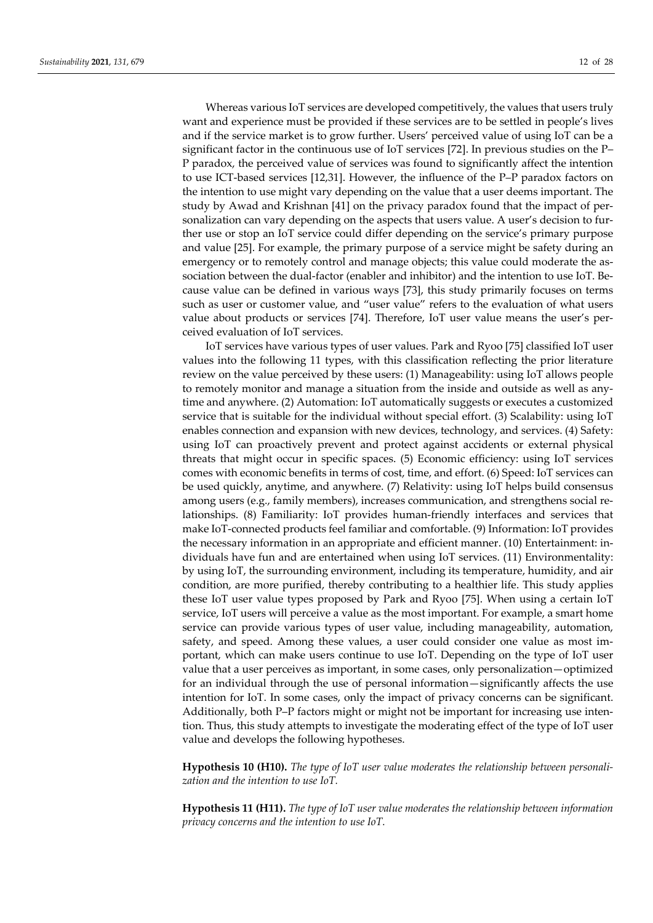Whereas various IoT services are developed competitively, the values that users truly want and experience must be provided if these services are to be settled in people's lives and if the service market is to grow further. Users' perceived value of using IoT can be a significant factor in the continuous use of IoT services [72]. In previous studies on the P– P paradox, the perceived value of services was found to significantly affect the intention to use ICT‐based services [12,31]. However, the influence of the P–P paradox factors on the intention to use might vary depending on the value that a user deems important. The study by Awad and Krishnan [41] on the privacy paradox found that the impact of per‐ sonalization can vary depending on the aspects that users value. A user's decision to further use or stop an IoT service could differ depending on the service's primary purpose and value [25]. For example, the primary purpose of a service might be safety during an emergency or to remotely control and manage objects; this value could moderate the association between the dual-factor (enabler and inhibitor) and the intention to use IoT. Because value can be defined in various ways [73], this study primarily focuses on terms such as user or customer value, and "user value" refers to the evaluation of what users value about products or services [74]. Therefore, IoT user value means the user's per‐ ceived evaluation of IoT services.

IoT services have various types of user values. Park and Ryoo [75] classified IoT user values into the following 11 types, with this classification reflecting the prior literature review on the value perceived by these users: (1) Manageability: using IoT allows people to remotely monitor and manage a situation from the inside and outside as well as any‐ time and anywhere. (2) Automation: IoT automatically suggests or executes a customized service that is suitable for the individual without special effort. (3) Scalability: using IoT enables connection and expansion with new devices, technology, and services. (4) Safety: using IoT can proactively prevent and protect against accidents or external physical threats that might occur in specific spaces. (5) Economic efficiency: using IoT services comes with economic benefits in terms of cost, time, and effort. (6) Speed: IoT services can be used quickly, anytime, and anywhere. (7) Relativity: using IoT helps build consensus among users (e.g., family members), increases communication, and strengthens social re‐ lationships. (8) Familiarity: IoT provides human‐friendly interfaces and services that make IoT‐connected products feel familiar and comfortable. (9) Information: IoT provides the necessary information in an appropriate and efficient manner. (10) Entertainment: in‐ dividuals have fun and are entertained when using IoT services. (11) Environmentality: by using IoT, the surrounding environment, including its temperature, humidity, and air condition, are more purified, thereby contributing to a healthier life. This study applies these IoT user value types proposed by Park and Ryoo [75]. When using a certain IoT service, IoT users will perceive a value as the most important. For example, a smart home service can provide various types of user value, including manageability, automation, safety, and speed. Among these values, a user could consider one value as most im‐ portant, which can make users continue to use IoT. Depending on the type of IoT user value that a user perceives as important, in some cases, only personalization—optimized for an individual through the use of personal information—significantly affects the use intention for IoT. In some cases, only the impact of privacy concerns can be significant. Additionally, both P–P factors might or might not be important for increasing use inten‐ tion. Thus, this study attempts to investigate the moderating effect of the type of IoT user value and develops the following hypotheses.

**Hypothesis 10 (H10).** *The type of IoT user value moderates the relationship between personali‐ zation and the intention to use IoT.*

**Hypothesis 11 (H11).** *The type of IoT user value moderates the relationship between information privacy concerns and the intention to use IoT.*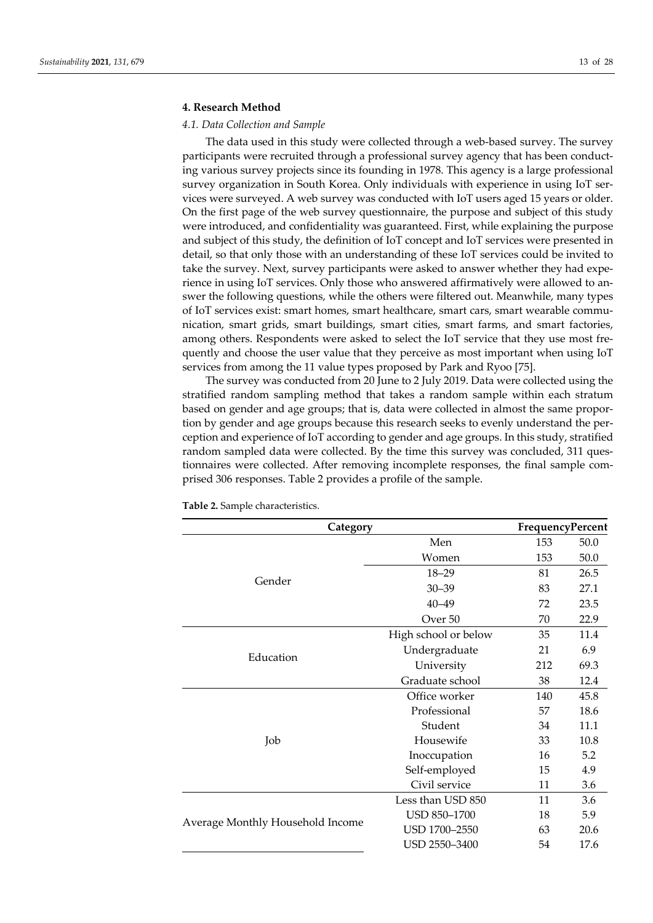#### **4. Research Method**

#### *4.1. Data Collection and Sample*

The data used in this study were collected through a web-based survey. The survey participants were recruited through a professional survey agency that has been conducting various survey projects since its founding in 1978. This agency is a large professional survey organization in South Korea. Only individuals with experience in using IoT ser‐ vices were surveyed. A web survey was conducted with IoT users aged 15 years or older. On the first page of the web survey questionnaire, the purpose and subject of this study were introduced, and confidentiality was guaranteed. First, while explaining the purpose and subject of this study, the definition of IoT concept and IoT services were presented in detail, so that only those with an understanding of these IoT services could be invited to take the survey. Next, survey participants were asked to answer whether they had experience in using IoT services. Only those who answered affirmatively were allowed to an‐ swer the following questions, while the others were filtered out. Meanwhile, many types of IoT services exist: smart homes, smart healthcare, smart cars, smart wearable communication, smart grids, smart buildings, smart cities, smart farms, and smart factories, among others. Respondents were asked to select the IoT service that they use most fre‐ quently and choose the user value that they perceive as most important when using IoT services from among the 11 value types proposed by Park and Ryoo [75].

The survey was conducted from 20 June to 2 July 2019. Data were collected using the stratified random sampling method that takes a random sample within each stratum based on gender and age groups; that is, data were collected in almost the same propor‐ tion by gender and age groups because this research seeks to evenly understand the per‐ ception and experience of IoT according to gender and age groups. In this study, stratified random sampled data were collected. By the time this survey was concluded, 311 questionnaires were collected. After removing incomplete responses, the final sample comprised 306 responses. Table 2 provides a profile of the sample.

| Category                         |                      | FrequencyPercent |      |  |
|----------------------------------|----------------------|------------------|------|--|
|                                  | Men                  | 153              | 50.0 |  |
|                                  | Women                | 153              | 50.0 |  |
|                                  | $18 - 29$            | 81               | 26.5 |  |
| Gender<br>Education<br>Job       | $30 - 39$            | 83               | 27.1 |  |
|                                  | $40 - 49$            | 72               | 23.5 |  |
|                                  | Over <sub>50</sub>   | 70               | 22.9 |  |
|                                  | High school or below | 35               | 11.4 |  |
|                                  | Undergraduate        | 21               | 6.9  |  |
|                                  | University           | 212              | 69.3 |  |
|                                  | Graduate school      | 38               | 12.4 |  |
|                                  | Office worker        | 140              | 45.8 |  |
|                                  | Professional         | 57               | 18.6 |  |
|                                  | Student              | 34               | 11.1 |  |
| Average Monthly Household Income | Housewife            | 33               | 10.8 |  |
|                                  | Inoccupation         | 16               | 5.2  |  |
|                                  | Self-employed        | 15               | 4.9  |  |
|                                  | Civil service        | 11               | 3.6  |  |
|                                  | Less than USD 850    | 11               | 3.6  |  |
|                                  | USD 850-1700         | 18               | 5.9  |  |
|                                  | USD 1700-2550        | 63               | 20.6 |  |
|                                  | USD 2550-3400        | 54               | 17.6 |  |
|                                  |                      |                  |      |  |

**Table 2.** Sample characteristics.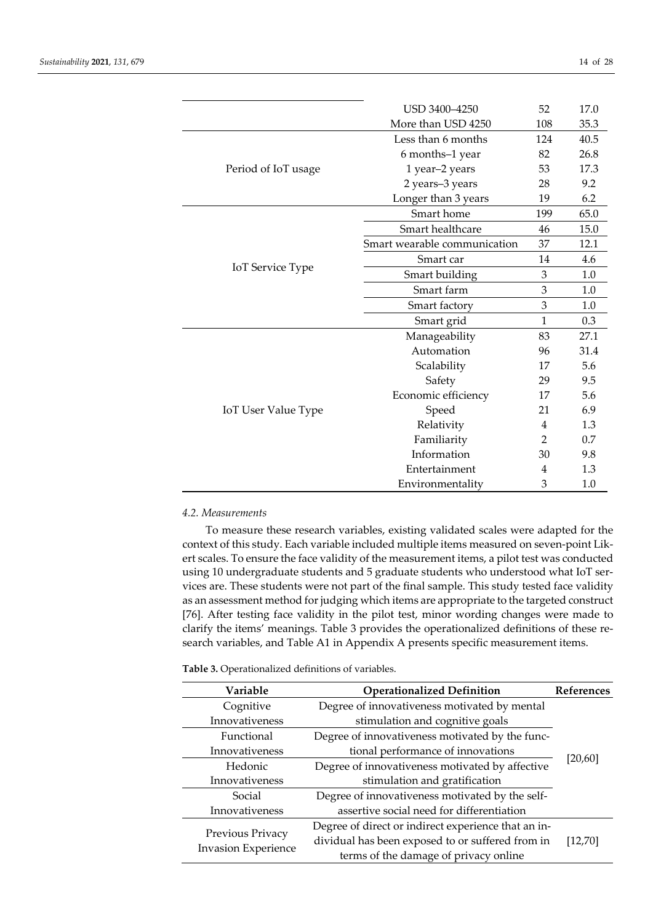|                            | USD 3400-4250                | 52           | 17.0 |
|----------------------------|------------------------------|--------------|------|
|                            | More than USD 4250           | 108          | 35.3 |
|                            | Less than 6 months           | 124          | 40.5 |
|                            | 6 months-1 year              | 82           | 26.8 |
| Period of IoT usage        | 1 year-2 years               | 53           | 17.3 |
|                            | 2 years-3 years              | 28           | 9.2  |
|                            | Longer than 3 years          | 19           | 6.2  |
|                            | Smart home                   | 199          | 65.0 |
|                            | Smart healthcare             | 46           | 15.0 |
|                            | Smart wearable communication | 37           | 12.1 |
|                            | Smart car                    | 14           | 4.6  |
| <b>IoT</b> Service Type    | Smart building               | 3            | 1.0  |
|                            | Smart farm                   | 3            | 1.0  |
|                            | Smart factory                | 3            | 1.0  |
|                            | Smart grid                   | $\mathbf{1}$ | 0.3  |
|                            | Manageability                | 83           | 27.1 |
|                            | Automation                   | 96           | 31.4 |
|                            | Scalability                  | 17           | 5.6  |
|                            | Safety                       | 29           | 9.5  |
|                            | Economic efficiency          | 17           | 5.6  |
| <b>IoT User Value Type</b> | Speed                        | 21           | 6.9  |
|                            | Relativity                   | 4            | 1.3  |
|                            | Familiarity                  | 2            | 0.7  |
|                            | Information                  | 30           | 9.8  |
|                            | Entertainment                | 4            | 1.3  |
|                            | Environmentality             | 3            | 1.0  |

#### *4.2. Measurements*

To measure these research variables, existing validated scales were adapted for the context of this study. Each variable included multiple items measured on seven‐point Lik‐ ert scales. To ensure the face validity of the measurement items, a pilot test was conducted using 10 undergraduate students and 5 graduate students who understood what IoT services are. These students were not part of the final sample. This study tested face validity as an assessment method forjudging which items are appropriate to the targeted construct [76]. After testing face validity in the pilot test, minor wording changes were made to clarify the items' meanings. Table 3 provides the operationalized definitions of these research variables, and Table A1 in Appendix A presents specific measurement items.

#### **Table 3.** Operationalized definitions of variables.

| Variable                   | <b>Operationalized Definition</b><br><b>References</b> |          |  |  |
|----------------------------|--------------------------------------------------------|----------|--|--|
| Cognitive                  | Degree of innovativeness motivated by mental           |          |  |  |
| Innovativeness             | stimulation and cognitive goals                        |          |  |  |
| Functional                 | Degree of innovativeness motivated by the func-        |          |  |  |
| Innovativeness             | tional performance of innovations                      |          |  |  |
| Hedonic                    | Degree of innovativeness motivated by affective        | [20, 60] |  |  |
| Innovativeness             | stimulation and gratification                          |          |  |  |
| Social                     | Degree of innovativeness motivated by the self-        |          |  |  |
| Innovativeness             | assertive social need for differentiation              |          |  |  |
|                            | Degree of direct or indirect experience that an in-    |          |  |  |
| Previous Privacy           | dividual has been exposed to or suffered from in       | [12, 70] |  |  |
| <b>Invasion Experience</b> | terms of the damage of privacy online                  |          |  |  |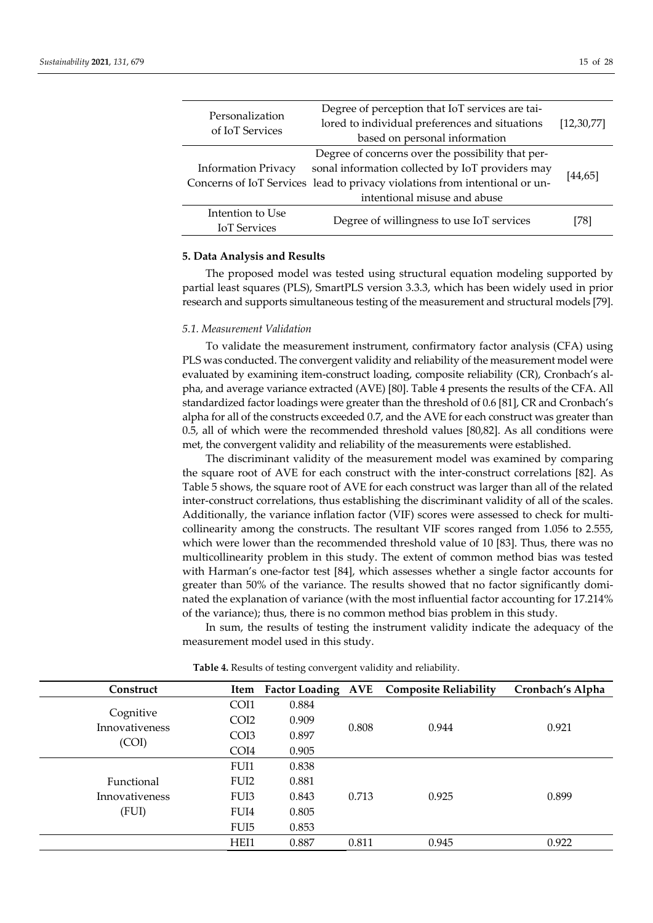| Personalization<br>of IoT Services      | Degree of perception that IoT services are tai-<br>lored to individual preferences and situations<br>based on personal information                                                                                   |          |  |  |
|-----------------------------------------|----------------------------------------------------------------------------------------------------------------------------------------------------------------------------------------------------------------------|----------|--|--|
| <b>Information Privacy</b>              | Degree of concerns over the possibility that per-<br>sonal information collected by IoT providers may<br>Concerns of IoT Services lead to privacy violations from intentional or un-<br>intentional misuse and abuse | [44, 65] |  |  |
| Intention to Use<br><b>IoT</b> Services | Degree of willingness to use IoT services                                                                                                                                                                            | [78]     |  |  |

#### **5. Data Analysis and Results**

The proposed model was tested using structural equation modeling supported by partial least squares (PLS), SmartPLS version 3.3.3, which has been widely used in prior research and supports simultaneous testing of the measurement and structural models [79].

## *5.1. Measurement Validation*

To validate the measurement instrument, confirmatory factor analysis (CFA) using PLS was conducted. The convergent validity and reliability of the measurement model were evaluated by examining item-construct loading, composite reliability (CR), Cronbach's alpha, and average variance extracted (AVE) [80]. Table 4 presents the results of the CFA. All standardized factor loadings were greater than the threshold of 0.6 [81], CR and Cronbach's alpha for all of the constructs exceeded 0.7, and the AVE for each construct was greater than 0.5, all of which were the recommended threshold values [80,82]. As all conditions were met, the convergent validity and reliability of the measurements were established.

The discriminant validity of the measurement model was examined by comparing the square root of AVE for each construct with the inter‐construct correlations [82]. As Table 5 shows, the square root of AVE for each construct was larger than all of the related inter-construct correlations, thus establishing the discriminant validity of all of the scales. Additionally, the variance inflation factor (VIF) scores were assessed to check for multi‐ collinearity among the constructs. The resultant VIF scores ranged from 1.056 to 2.555, which were lower than the recommended threshold value of 10 [83]. Thus, there was no multicollinearity problem in this study. The extent of common method bias was tested with Harman's one-factor test [84], which assesses whether a single factor accounts for greater than 50% of the variance. The results showed that no factor significantly dominated the explanation of variance (with the most influential factor accounting for 17.214% of the variance); thus, there is no common method bias problem in this study.

In sum, the results of testing the instrument validity indicate the adequacy of the measurement model used in this study.

| Construct                          |                  |       |       | Item Factor Loading AVE Composite Reliability | Cronbach's Alpha |  |
|------------------------------------|------------------|-------|-------|-----------------------------------------------|------------------|--|
|                                    | COI1             | 0.884 |       |                                               |                  |  |
| Cognitive<br><b>Innovativeness</b> | CO <sub>I2</sub> | 0.909 |       | 0.944                                         |                  |  |
|                                    | CO <sub>I3</sub> | 0.897 | 0.808 |                                               | 0.921            |  |
| (COI)                              | COI4             | 0.905 |       |                                               |                  |  |
|                                    | FUI1             | 0.838 |       |                                               |                  |  |
| Functional                         | FUI <sub>2</sub> | 0.881 |       |                                               |                  |  |
| Innovativeness                     | FUI <sub>3</sub> | 0.843 | 0.713 | 0.925                                         | 0.899            |  |
| (FUI)                              | FUI4             | 0.805 |       |                                               |                  |  |
|                                    | FUI <sub>5</sub> | 0.853 |       |                                               |                  |  |
|                                    | HEI1             | 0.887 | 0.811 | 0.945                                         | 0.922            |  |

**Table 4.** Results of testing convergent validity and reliability.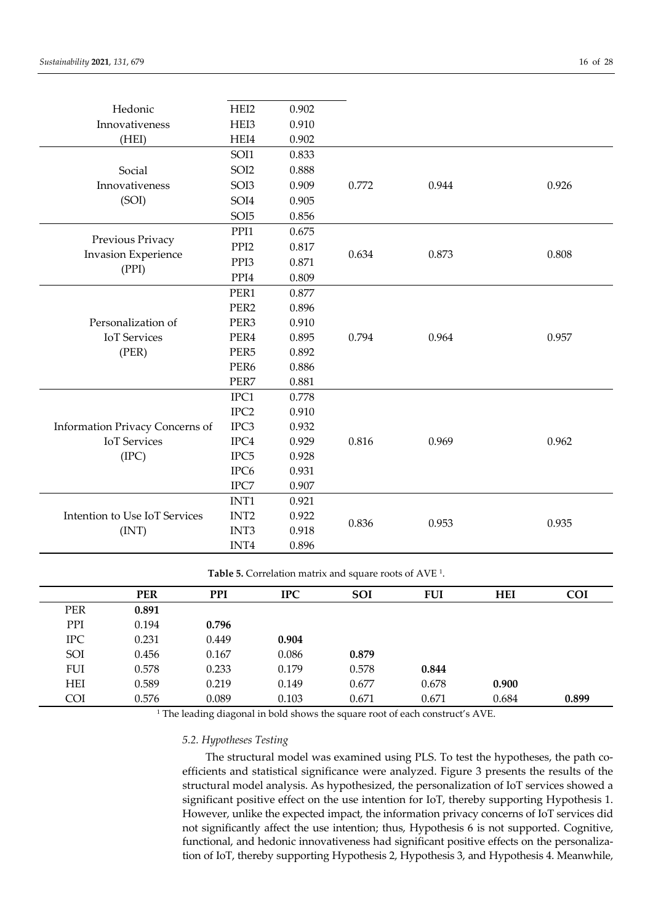| Hedonic                         | HEI2               | 0.902 |       |       |       |
|---------------------------------|--------------------|-------|-------|-------|-------|
| Innovativeness                  | HEI3               | 0.910 |       |       |       |
| (HEI)                           | HEI4               | 0.902 |       |       |       |
|                                 | SOI1               | 0.833 |       |       |       |
| Social                          | SOI2               | 0.888 |       |       |       |
| Innovativeness                  | SOI3               | 0.909 | 0.772 | 0.944 | 0.926 |
| (SOI)                           | SOI4               | 0.905 |       |       |       |
|                                 | SOI <sub>5</sub>   | 0.856 |       |       |       |
|                                 | PPI1               | 0.675 |       |       |       |
| Previous Privacy                | PPI <sub>2</sub>   | 0.817 |       |       |       |
| <b>Invasion Experience</b>      | PPI3               | 0.871 | 0.634 | 0.873 | 0.808 |
| (PPI)                           | PPI4               | 0.809 |       |       |       |
|                                 | PER1               | 0.877 |       |       |       |
|                                 | PER <sub>2</sub>   | 0.896 |       |       |       |
| Personalization of              | PER <sub>3</sub>   | 0.910 |       |       |       |
| <b>IoT</b> Services             | PER4               | 0.895 | 0.794 | 0.964 | 0.957 |
| (PER)                           | PER <sub>5</sub>   | 0.892 |       |       |       |
|                                 | PER <sub>6</sub>   | 0.886 |       |       |       |
|                                 | PER7               | 0.881 |       |       |       |
|                                 | IPC1               | 0.778 |       |       |       |
|                                 | IPC <sub>2</sub>   | 0.910 |       |       |       |
| Information Privacy Concerns of | IPC3               | 0.932 |       |       |       |
| <b>IoT</b> Services             | $_{\mathrm{IPC4}}$ | 0.929 | 0.816 | 0.969 | 0.962 |
| (IPC)                           | IPC <sub>5</sub>   | 0.928 |       |       |       |
|                                 | IPC <sub>6</sub>   | 0.931 |       |       |       |
|                                 | IPC7               | 0.907 |       |       |       |
|                                 | INT1               | 0.921 |       |       |       |
| Intention to Use IoT Services   | INT <sub>2</sub>   | 0.922 | 0.836 | 0.953 | 0.935 |
| (INT)                           | INT3               | 0.918 |       |       |       |
|                                 | INT4               | 0.896 |       |       |       |

**Table 5.** Correlation matrix and square roots of AVE 1.

|            | <b>PER</b> | <b>PPI</b> | <b>IPC</b> | <b>SOI</b> | <b>FUI</b> | <b>HEI</b> | <b>COI</b> |
|------------|------------|------------|------------|------------|------------|------------|------------|
| <b>PER</b> | 0.891      |            |            |            |            |            |            |
| PPI        | 0.194      | 0.796      |            |            |            |            |            |
| <b>IPC</b> | 0.231      | 0.449      | 0.904      |            |            |            |            |
| SOI        | 0.456      | 0.167      | 0.086      | 0.879      |            |            |            |
| <b>FUI</b> | 0.578      | 0.233      | 0.179      | 0.578      | 0.844      |            |            |
| <b>HEI</b> | 0.589      | 0.219      | 0.149      | 0.677      | 0.678      | 0.900      |            |
| <b>COI</b> | 0.576      | 0.089      | 0.103      | 0.671      | 0.671      | 0.684      | 0.899      |

<sup>1</sup> The leading diagonal in bold shows the square root of each construct's AVE.

#### *5.2. Hypotheses Testing*

The structural model was examined using PLS. To test the hypotheses, the path coefficients and statistical significance were analyzed. Figure 3 presents the results of the structural model analysis. As hypothesized, the personalization of IoT services showed a significant positive effect on the use intention for IoT, thereby supporting Hypothesis 1. However, unlike the expected impact, the information privacy concerns of IoT services did not significantly affect the use intention; thus, Hypothesis 6 is not supported. Cognitive, functional, and hedonic innovativeness had significant positive effects on the personalization of IoT, thereby supporting Hypothesis 2, Hypothesis 3, and Hypothesis 4. Meanwhile,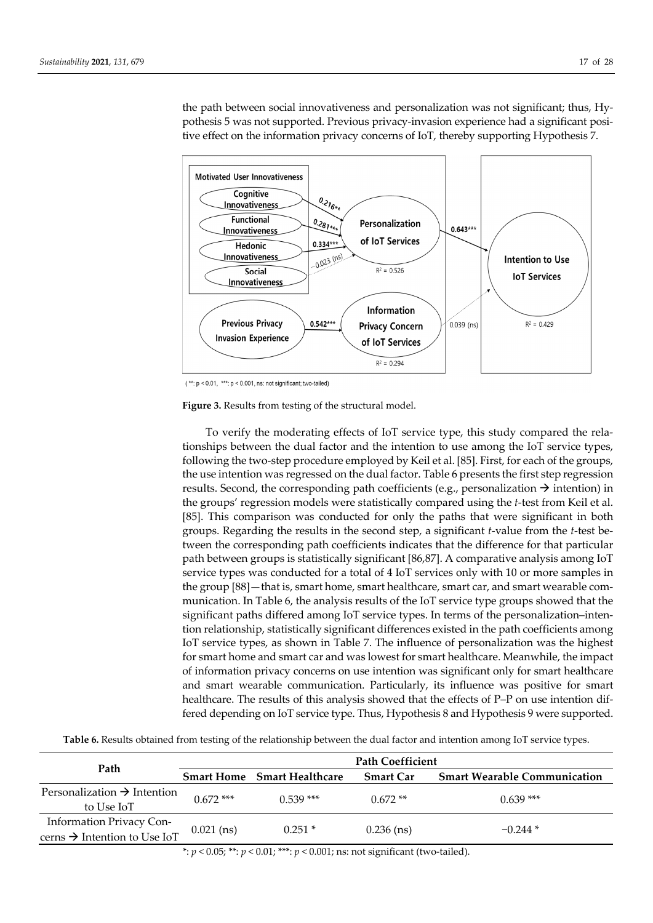the path between social innovativeness and personalization was not significant; thus, Hy‐ pothesis 5 was not supported. Previous privacy‐invasion experience had a significant posi‐ tive effect on the information privacy concerns of IoT, thereby supporting Hypothesis 7.



 $(*: p < 0.01, **: p < 0.001, ns: not significant; two-tailed)$ 

**Figure 3.** Results from testing of the structural model.

To verify the moderating effects of IoT service type, this study compared the rela‐ tionships between the dual factor and the intention to use among the IoT service types, following the two‐step procedure employed by Keil et al. [85]. First, for each of the groups, the use intention was regressed on the dual factor. Table 6 presents the first step regression results. Second, the corresponding path coefficients (e.g., personalization  $\rightarrow$  intention) in the groups' regression models were statistically compared using the *t*‐test from Keil et al. [85]. This comparison was conducted for only the paths that were significant in both groups. Regarding the results in the second step, a significant *t*‐value from the *t*‐test be‐ tween the corresponding path coefficients indicates that the difference for that particular path between groups is statistically significant [86,87]. A comparative analysis among IoT service types was conducted for a total of 4 IoT services only with 10 or more samples in the group [88] — that is, smart home, smart healthcare, smart car, and smart wearable communication. In Table 6, the analysis results of the IoT service type groups showed that the significant paths differed among IoT service types. In terms of the personalization–inten‐ tion relationship, statistically significant differences existed in the path coefficients among IoT service types, as shown in Table 7. The influence of personalization was the highest for smart home and smart car and was lowest for smart healthcare. Meanwhile, the impact of information privacy concerns on use intention was significant only for smart healthcare and smart wearable communication. Particularly, its influence was positive for smart healthcare. The results of this analysis showed that the effects of P–P on use intention differed depending on IoT service type. Thus, Hypothesis 8 and Hypothesis 9 were supported.

**Table 6.** Results obtained from testing of the relationship between the dual factor and intention among IoT service types.

|                                                                      | <b>Path Coefficient</b> |                                    |                  |                                     |  |  |
|----------------------------------------------------------------------|-------------------------|------------------------------------|------------------|-------------------------------------|--|--|
| Path                                                                 |                         | <b>Smart Home</b> Smart Healthcare | <b>Smart Car</b> | <b>Smart Wearable Communication</b> |  |  |
| Personalization $\rightarrow$ Intention<br>to Use IoT                | $0.672$ ***             | $0.539$ ***                        | $0.672**$        | $0.639***$                          |  |  |
| Information Privacy Con-<br>cerns $\rightarrow$ Intention to Use IoT | $0.021$ (ns)            | $0.251*$                           | $0.236$ (ns)     | $-0.244*$                           |  |  |

\*:  $p < 0.05$ ; \*\*:  $p < 0.01$ ; \*\*\*:  $p < 0.001$ ; ns: not significant (two-tailed).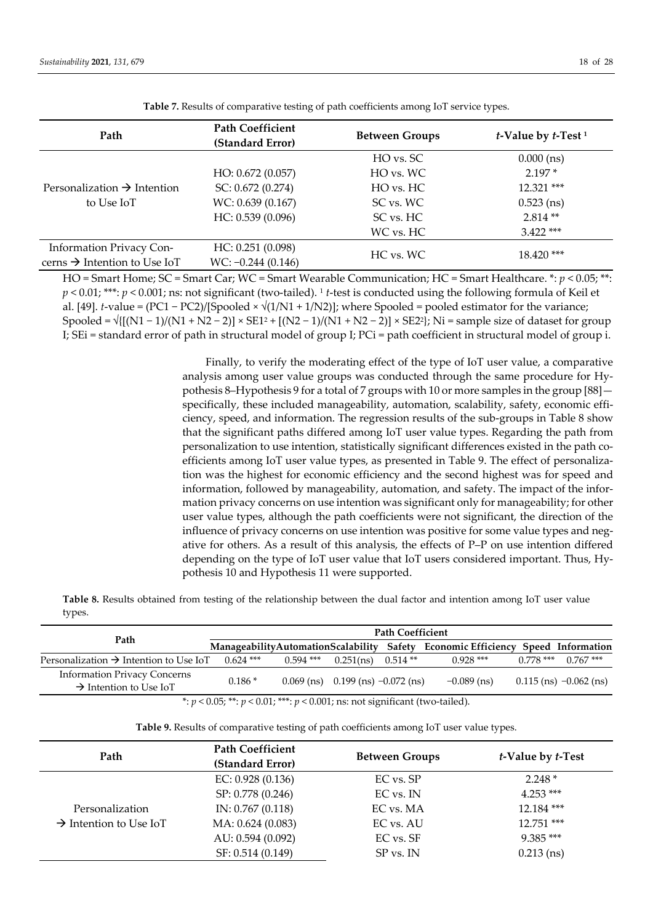| Path                                                  | <b>Path Coefficient</b><br>(Standard Error) | <b>Between Groups</b> | t-Value by t-Test <sup>1</sup> |  |
|-------------------------------------------------------|---------------------------------------------|-----------------------|--------------------------------|--|
|                                                       |                                             | HO vs. SC             | $0.000$ (ns)                   |  |
|                                                       | HO: 0.672 (0.057)                           | HO vs. WC             | $2.197*$                       |  |
| Personalization $\rightarrow$ Intention<br>to Use IoT | SC: 0.672(0.274)                            | HO vs. HC             | $12.321$ ***                   |  |
|                                                       | WC: 0.639 (0.167)                           | SC vs. WC             | $0.523$ (ns)                   |  |
|                                                       | HC: 0.539(0.096)                            | SC vs. HC             | $2.814**$                      |  |
|                                                       |                                             | WC vs. HC             | $3.422$ ***                    |  |
| Information Privacy Con-                              | HC: 0.251(0.098)                            | HC vs. WC             | $18.420$ ***                   |  |
| cerns $\rightarrow$ Intention to Use IoT              | $WC: -0.244 (0.146)$                        |                       |                                |  |

**Table 7.** Results of comparative testing of path coefficients among IoT service types.

HO = Smart Home; SC = Smart Car; WC = Smart Wearable Communication; HC = Smart Healthcare. \*: *p* < 0.05; \*\*: *p* < 0.01; \*\*\*: *p* < 0.001; ns: not significant (two‐tailed). <sup>1</sup> *t*‐test is conducted using the following formula of Keil et al. [49]. *t*-value = (PC1 – PC2)/[Spooled  $\times \sqrt{(1/N1 + 1/N2)}$ ; where Spooled = pooled estimator for the variance; Spooled =  $\sqrt{\{(N1-1)/(N1+N2-2)\}} \times SE1^2 + \{(N2-1)/(N1+N2-2)\} \times SE2^2$ ; Ni = sample size of dataset for group I; SEi = standard error of path in structural model of group I; PCi = path coefficient in structural model of group i.

> Finally, to verify the moderating effect of the type of IoT user value, a comparative analysis among user value groups was conducted through the same procedure for Hypothesis 8–Hypothesis 9 for a total of 7 groups with 10 or more samples in the group [88] specifically, these included manageability, automation, scalability, safety, economic efficiency, speed, and information. The regression results of the sub‐groups in Table 8 show that the significant paths differed among IoT user value types. Regarding the path from personalization to use intention, statistically significant differences existed in the path co‐ efficients among IoT user value types, as presented in Table 9. The effect of personaliza‐ tion was the highest for economic efficiency and the second highest was for speed and information, followed by manageability, automation, and safety. The impact of the information privacy concerns on use intention was significant only for manageability; for other user value types, although the path coefficients were not significant, the direction of the influence of privacy concerns on use intention was positive for some value types and negative for others. As a result of this analysis, the effects of P–P on use intention differed depending on the type of IoT user value that IoT users considered important. Thus, Hy‐ pothesis 10 and Hypothesis 11 were supported.

**Table 8.** Results obtained from testing of the relationship between the dual factor and intention among IoT user value types.

|                                                                                       | <b>Path Coefficient</b> |             |                                     |           |                                                                                 |             |                            |
|---------------------------------------------------------------------------------------|-------------------------|-------------|-------------------------------------|-----------|---------------------------------------------------------------------------------|-------------|----------------------------|
| Path                                                                                  |                         |             |                                     |           | ManageabilityAutomationScalability Safety Economic Efficiency Speed Information |             |                            |
| Personalization $\rightarrow$ Intention to Use IoT                                    | $0.624$ ***             | $0.594$ *** | 0.251(ns)                           | $0.514**$ | $0.928***$                                                                      | $0.778$ *** | $0.767$ ***                |
| <b>Information Privacy Concerns</b><br>$\rightarrow$ Intention to Use IoT             | $0.186*$                |             | 0.069 (ns) 0.199 (ns) $-0.072$ (ns) |           | $-0.089$ (ns)                                                                   |             | $0.115$ (ns) $-0.062$ (ns) |
| *: $p < 0.05$ ; **: $p < 0.01$ ; ***: $p < 0.001$ ; ns: not significant (two-tailed). |                         |             |                                     |           |                                                                                 |             |                            |

|  | Table 9. Results of comparative testing of path coefficients among IoT user value types |  |
|--|-----------------------------------------------------------------------------------------|--|
|  |                                                                                         |  |

| Path                               | <b>Path Coefficient</b><br>(Standard Error) | <b>Between Groups</b> | <i>t</i> -Value by <i>t</i> -Test |
|------------------------------------|---------------------------------------------|-----------------------|-----------------------------------|
|                                    | EC: $0.928(0.136)$                          | EC vs. SP             | $2.248*$                          |
|                                    | SP: 0.778 (0.246)                           | EC vs. IN             | $4.253***$                        |
| Personalization                    | IN: $0.767(0.118)$                          | EC vs. MA             | 12.184***                         |
| $\rightarrow$ Intention to Use IoT | MA: 0.624 (0.083)                           | EC vs. AU             | 12.751 ***                        |
|                                    | AU: 0.594 (0.092)                           | EC vs. SF             | $9.385***$                        |
|                                    | SF: 0.514 (0.149)                           | SP vs. IN             | $0.213$ (ns)                      |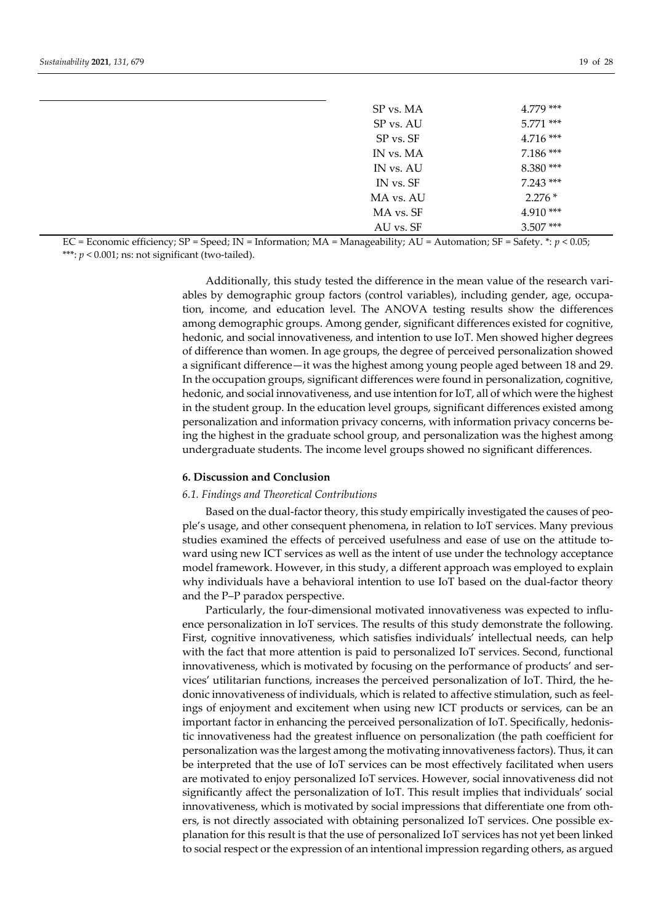| SP vs. MA | $4.779$ *** |
|-----------|-------------|
| SP vs. AU | $5.771$ *** |
| SP vs. SF | $4.716***$  |
| IN vs. MA | $7.186***$  |
| IN vs. AU | 8.380***    |
| IN vs. SF | $7.243***$  |
| MA vs. AU | $2.276*$    |
| MA vs. SF | $4.910***$  |
| AU vs. SF | $3.507***$  |

EC = Economic efficiency; SP = Speed; IN = Information; MA = Manageability; AU = Automation; SF = Safety. \*: *p* < 0.05; \*\*\*:  $p < 0.001$ ; ns: not significant (two-tailed).

> Additionally, this study tested the difference in the mean value of the research vari‐ ables by demographic group factors (control variables), including gender, age, occupa‐ tion, income, and education level. The ANOVA testing results show the differences among demographic groups. Among gender, significant differences existed for cognitive, hedonic, and social innovativeness, and intention to use IoT. Men showed higher degrees of difference than women. In age groups, the degree of perceived personalization showed a significant difference—it was the highest among young people aged between 18 and 29. In the occupation groups, significant differences were found in personalization, cognitive, hedonic, and social innovativeness, and use intention for IoT, all of which were the highest in the student group. In the education level groups, significant differences existed among personalization and information privacy concerns, with information privacy concerns be‐ ing the highest in the graduate school group, and personalization was the highest among undergraduate students. The income level groups showed no significant differences.

#### **6. Discussion and Conclusion**

#### *6.1. Findings and Theoretical Contributions*

Based on the dual-factor theory, this study empirically investigated the causes of people's usage, and other consequent phenomena, in relation to IoT services. Many previous studies examined the effects of perceived usefulness and ease of use on the attitude to‐ ward using new ICT services as well as the intent of use under the technology acceptance model framework. However, in this study, a different approach was employed to explain why individuals have a behavioral intention to use IoT based on the dual-factor theory and the P–P paradox perspective.

Particularly, the four-dimensional motivated innovativeness was expected to influence personalization in IoT services. The results of this study demonstrate the following. First, cognitive innovativeness, which satisfies individuals' intellectual needs, can help with the fact that more attention is paid to personalized IoT services. Second, functional innovativeness, which is motivated by focusing on the performance of products' and services' utilitarian functions, increases the perceived personalization of IoT. Third, the he‐ donic innovativeness of individuals, which is related to affective stimulation, such as feel‐ ings of enjoyment and excitement when using new ICT products or services, can be an important factor in enhancing the perceived personalization of IoT. Specifically, hedonis‐ tic innovativeness had the greatest influence on personalization (the path coefficient for personalization was the largest among the motivating innovativeness factors). Thus, it can be interpreted that the use of IoT services can be most effectively facilitated when users are motivated to enjoy personalized IoT services. However, social innovativeness did not significantly affect the personalization of IoT. This result implies that individuals' social innovativeness, which is motivated by social impressions that differentiate one from others, is not directly associated with obtaining personalized IoT services. One possible ex‐ planation for this result is that the use of personalized IoT services has not yet been linked to social respect or the expression of an intentional impression regarding others, as argued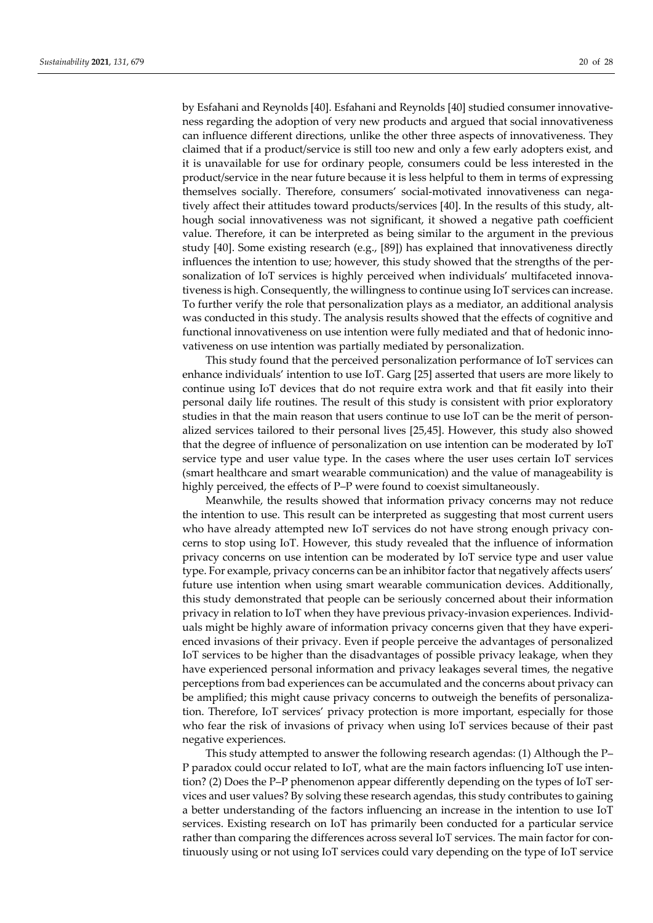by Esfahani and Reynolds [40]. Esfahani and Reynolds [40] studied consumer innovative‐ ness regarding the adoption of very new products and argued that social innovativeness can influence different directions, unlike the other three aspects of innovativeness. They claimed that if a product/service is still too new and only a few early adopters exist, and it is unavailable for use for ordinary people, consumers could be less interested in the product/service in the near future because it is less helpful to them in terms of expressing themselves socially. Therefore, consumers' social-motivated innovativeness can negatively affect their attitudes toward products/services [40]. In the results of this study, alt‐ hough social innovativeness was not significant, it showed a negative path coefficient value. Therefore, it can be interpreted as being similar to the argument in the previous study [40]. Some existing research (e.g., [89]) has explained that innovativeness directly influences the intention to use; however, this study showed that the strengths of the personalization of IoT services is highly perceived when individuals' multifaceted innovativeness is high. Consequently, the willingness to continue using IoT services can increase. To further verify the role that personalization plays as a mediator, an additional analysis was conducted in this study. The analysis results showed that the effects of cognitive and functional innovativeness on use intention were fully mediated and that of hedonic innovativeness on use intention was partially mediated by personalization.

This study found that the perceived personalization performance of IoT services can enhance individuals' intention to use IoT. Garg [25] asserted that users are more likely to continue using IoT devices that do not require extra work and that fit easily into their personal daily life routines. The result of this study is consistent with prior exploratory studies in that the main reason that users continue to use IoT can be the merit of personalized services tailored to their personal lives [25,45]. However, this study also showed that the degree of influence of personalization on use intention can be moderated by IoT service type and user value type. In the cases where the user uses certain IoT services (smart healthcare and smart wearable communication) and the value of manageability is highly perceived, the effects of P–P were found to coexist simultaneously.

Meanwhile, the results showed that information privacy concerns may not reduce the intention to use. This result can be interpreted as suggesting that most current users who have already attempted new IoT services do not have strong enough privacy concerns to stop using IoT. However, this study revealed that the influence of information privacy concerns on use intention can be moderated by IoT service type and user value type. For example, privacy concerns can be an inhibitor factor that negatively affects users' future use intention when using smart wearable communication devices. Additionally, this study demonstrated that people can be seriously concerned about their information privacy in relation to IoT when they have previous privacy‐invasion experiences. Individ‐ uals might be highly aware of information privacy concerns given that they have experienced invasions of their privacy. Even if people perceive the advantages of personalized IoT services to be higher than the disadvantages of possible privacy leakage, when they have experienced personal information and privacy leakages several times, the negative perceptions from bad experiences can be accumulated and the concerns about privacy can be amplified; this might cause privacy concerns to outweigh the benefits of personalization. Therefore, IoT services' privacy protection is more important, especially for those who fear the risk of invasions of privacy when using IoT services because of their past negative experiences.

This study attempted to answer the following research agendas: (1) Although the P– P paradox could occur related to IoT, what are the main factors influencing IoT use inten‐ tion? (2) Does the P–P phenomenon appear differently depending on the types of IoT ser‐ vices and user values? By solving these research agendas, this study contributes to gaining a better understanding of the factors influencing an increase in the intention to use IoT services. Existing research on IoT has primarily been conducted for a particular service rather than comparing the differences across several IoT services. The main factor for continuously using or not using IoT services could vary depending on the type of IoT service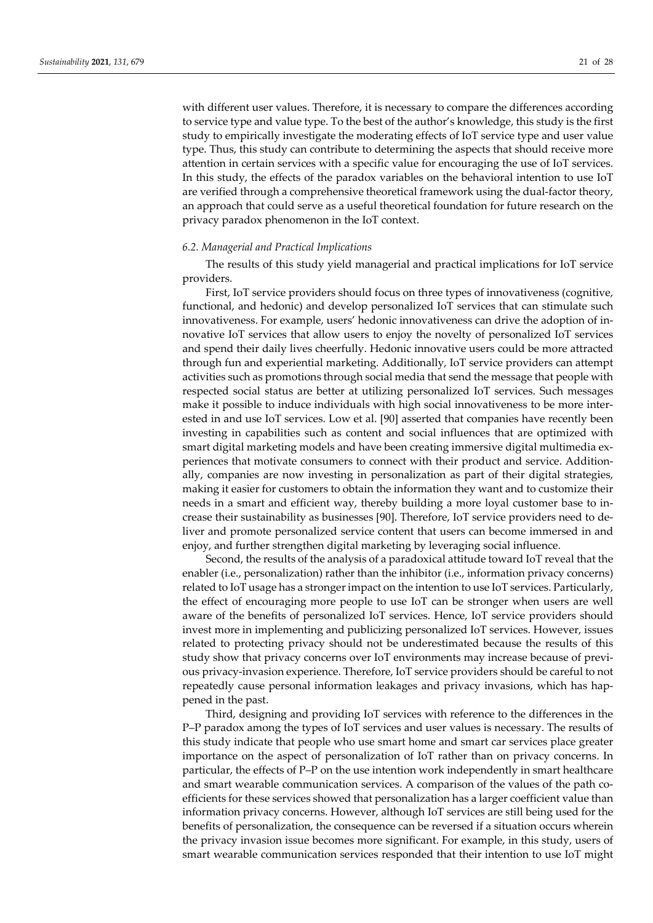with different user values. Therefore, it is necessary to compare the differences according to service type and value type. To the best of the author's knowledge, this study is the first study to empirically investigate the moderating effects of IoT service type and user value type. Thus, this study can contribute to determining the aspects that should receive more attention in certain services with a specific value for encouraging the use of IoT services. In this study, the effects of the paradox variables on the behavioral intention to use IoT are verified through a comprehensive theoretical framework using the dual-factor theory, an approach that could serve as a useful theoretical foundation for future research on the privacy paradox phenomenon in the IoT context.

#### *6.2. Managerial and Practical Implications*

The results of this study yield managerial and practical implications for IoT service providers.

First, IoT service providers should focus on three types of innovativeness (cognitive, functional, and hedonic) and develop personalized IoT services that can stimulate such innovativeness. For example, users' hedonic innovativeness can drive the adoption of in‐ novative IoT services that allow users to enjoy the novelty of personalized IoT services and spend their daily lives cheerfully. Hedonic innovative users could be more attracted through fun and experiential marketing. Additionally, IoT service providers can attempt activities such as promotions through social media that send the message that people with respected social status are better at utilizing personalized IoT services. Such messages make it possible to induce individuals with high social innovativeness to be more inter‐ ested in and use IoT services. Low et al. [90] asserted that companies have recently been investing in capabilities such as content and social influences that are optimized with smart digital marketing models and have been creating immersive digital multimedia ex‐ periences that motivate consumers to connect with their product and service. Additionally, companies are now investing in personalization as part of their digital strategies, making it easier for customers to obtain the information they want and to customize their needs in a smart and efficient way, thereby building a more loyal customer base to in‐ crease their sustainability as businesses [90]. Therefore, IoT service providers need to de‐ liver and promote personalized service content that users can become immersed in and enjoy, and further strengthen digital marketing by leveraging social influence.

Second, the results of the analysis of a paradoxical attitude toward IoT reveal that the enabler (i.e., personalization) rather than the inhibitor (i.e., information privacy concerns) related to IoT usage has a strongerimpact on the intention to use IoT services. Particularly, the effect of encouraging more people to use IoT can be stronger when users are well aware of the benefits of personalized IoT services. Hence, IoT service providers should invest more in implementing and publicizing personalized IoT services. However, issues related to protecting privacy should not be underestimated because the results of this study show that privacy concerns over IoT environments may increase because of previ‐ ous privacy‐invasion experience. Therefore, IoT service providers should be careful to not repeatedly cause personal information leakages and privacy invasions, which has hap‐ pened in the past.

Third, designing and providing IoT services with reference to the differences in the P–P paradox among the types of IoT services and user values is necessary. The results of this study indicate that people who use smart home and smart car services place greater importance on the aspect of personalization of IoT rather than on privacy concerns. In particular, the effects of P–P on the use intention work independently in smart healthcare and smart wearable communication services. A comparison of the values of the path coefficients for these services showed that personalization has a larger coefficient value than information privacy concerns. However, although IoT services are still being used for the benefits of personalization, the consequence can be reversed if a situation occurs wherein the privacy invasion issue becomes more significant. For example, in this study, users of smart wearable communication services responded that their intention to use IoT might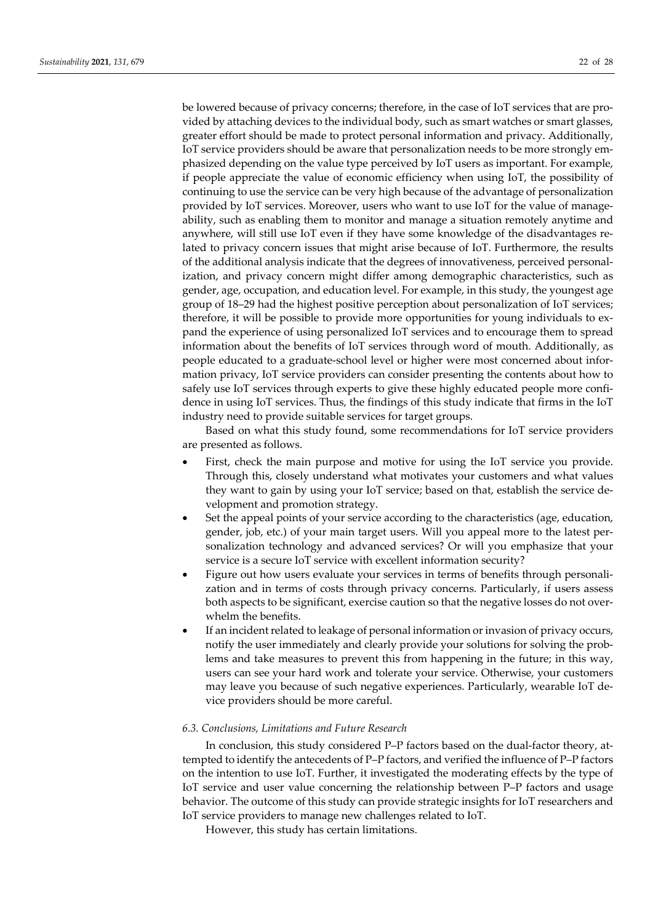be lowered because of privacy concerns; therefore, in the case of IoT services that are pro‐ vided by attaching devices to the individual body, such as smart watches or smart glasses, greater effort should be made to protect personal information and privacy. Additionally, IoT service providers should be aware that personalization needs to be more strongly emphasized depending on the value type perceived by IoT users as important. For example, if people appreciate the value of economic efficiency when using IoT, the possibility of continuing to use the service can be very high because of the advantage of personalization provided by IoT services. Moreover, users who want to use IoT for the value of manageability, such as enabling them to monitor and manage a situation remotely anytime and anywhere, will still use IoT even if they have some knowledge of the disadvantages re‐ lated to privacy concern issues that might arise because of IoT. Furthermore, the results of the additional analysis indicate that the degrees of innovativeness, perceived personal‐ ization, and privacy concern might differ among demographic characteristics, such as gender, age, occupation, and education level. For example, in this study, the youngest age group of 18–29 had the highest positive perception about personalization of IoT services; therefore, it will be possible to provide more opportunities for young individuals to ex‐ pand the experience of using personalized IoT services and to encourage them to spread information about the benefits of IoT services through word of mouth. Additionally, as people educated to a graduate-school level or higher were most concerned about information privacy, IoT service providers can consider presenting the contents about how to safely use IoT services through experts to give these highly educated people more confidence in using IoT services. Thus, the findings of this study indicate that firms in the IoT industry need to provide suitable services for target groups.

Based on what this study found, some recommendations for IoT service providers are presented as follows.

- First, check the main purpose and motive for using the IoT service you provide. Through this, closely understand what motivates your customers and what values they want to gain by using your IoT service; based on that, establish the service de‐ velopment and promotion strategy.
- Set the appeal points of your service according to the characteristics (age, education, gender, job, etc.) of your main target users. Will you appeal more to the latest per‐ sonalization technology and advanced services? Or will you emphasize that your service is a secure IoT service with excellent information security?
- Figure out how users evaluate your services in terms of benefits through personalization and in terms of costs through privacy concerns. Particularly, if users assess both aspects to be significant, exercise caution so that the negative losses do not overwhelm the benefits.
- If an incident related to leakage of personal information or invasion of privacy occurs, notify the user immediately and clearly provide your solutions for solving the problems and take measures to prevent this from happening in the future; in this way, users can see your hard work and tolerate your service. Otherwise, your customers may leave you because of such negative experiences. Particularly, wearable IoT de‐ vice providers should be more careful.

# *6.3. Conclusions, Limitations and Future Research*

In conclusion, this study considered P–P factors based on the dual-factor theory, attempted to identify the antecedents of P–P factors, and verified the influence of P–P factors on the intention to use IoT. Further, it investigated the moderating effects by the type of IoT service and user value concerning the relationship between P–P factors and usage behavior. The outcome of this study can provide strategic insights for IoT researchers and IoT service providers to manage new challenges related to IoT.

However, this study has certain limitations.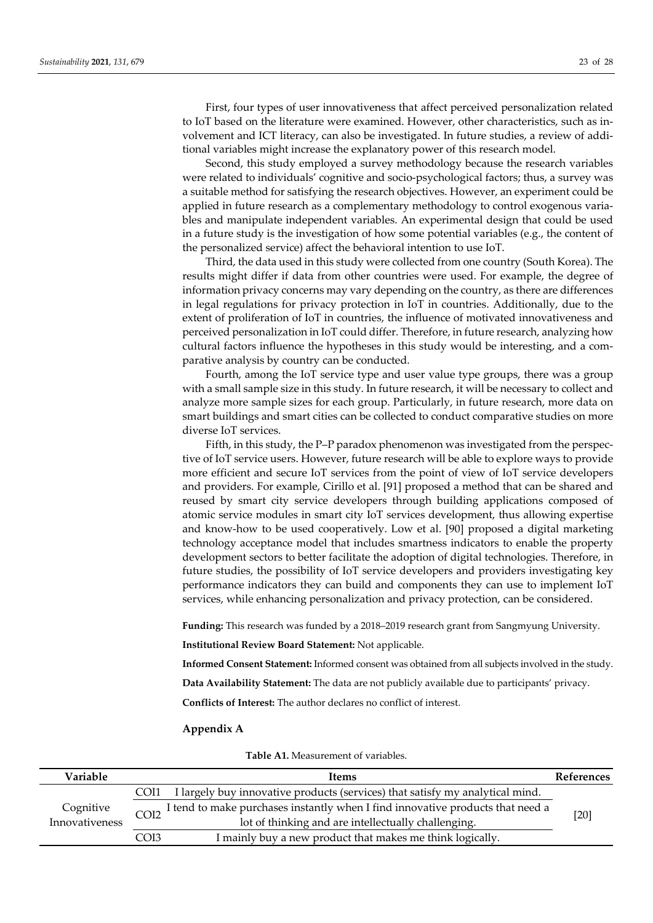First, four types of user innovativeness that affect perceived personalization related to IoT based on the literature were examined. However, other characteristics, such as in‐ volvement and ICT literacy, can also be investigated. In future studies, a review of addi‐ tional variables might increase the explanatory power of this research model.

Second, this study employed a survey methodology because the research variables were related to individuals' cognitive and socio-psychological factors; thus, a survey was a suitable method for satisfying the research objectives. However, an experiment could be applied in future research as a complementary methodology to control exogenous varia‐ bles and manipulate independent variables. An experimental design that could be used in a future study is the investigation of how some potential variables (e.g., the content of the personalized service) affect the behavioral intention to use IoT.

Third, the data used in this study were collected from one country (South Korea). The results might differ if data from other countries were used. For example, the degree of information privacy concerns may vary depending on the country, as there are differences in legal regulations for privacy protection in IoT in countries. Additionally, due to the extent of proliferation of IoT in countries, the influence of motivated innovativeness and perceived personalization in IoT could differ. Therefore, in future research, analyzing how cultural factors influence the hypotheses in this study would be interesting, and a comparative analysis by country can be conducted.

Fourth, among the IoT service type and user value type groups, there was a group with a small sample size in this study. In future research, it will be necessary to collect and analyze more sample sizes for each group. Particularly, in future research, more data on smart buildings and smart cities can be collected to conduct comparative studies on more diverse IoT services.

Fifth, in this study, the P–P paradox phenomenon was investigated from the perspec‐ tive of IoT service users. However, future research will be able to explore ways to provide more efficient and secure IoT services from the point of view of IoT service developers and providers. For example, Cirillo et al. [91] proposed a method that can be shared and reused by smart city service developers through building applications composed of atomic service modules in smart city IoT services development, thus allowing expertise and know‐how to be used cooperatively. Low et al. [90] proposed a digital marketing technology acceptance model that includes smartness indicators to enable the property development sectors to better facilitate the adoption of digital technologies. Therefore, in future studies, the possibility of IoT service developers and providers investigating key performance indicators they can build and components they can use to implement IoT services, while enhancing personalization and privacy protection, can be considered.

**Funding:** This research was funded by a 2018–2019 research grant from Sangmyung University.

**Institutional Review Board Statement:** Not applicable.

**Informed Consent Statement:** Informed consent was obtained from all subjects involved in the study.

**Data Availability Statement:** The data are not publicly available due to participants' privacy.

**Conflicts of Interest:** The author declares no conflict of interest.

#### **Appendix A**

|  | <b>Table A1.</b> Measurement of variables. |  |
|--|--------------------------------------------|--|
|--|--------------------------------------------|--|

| Variable                            |      | Items                                                                          | References |
|-------------------------------------|------|--------------------------------------------------------------------------------|------------|
|                                     | COI1 | I largely buy innovative products (services) that satisfy my analytical mind.  |            |
| Cognitive<br>COI2<br>Innovativeness |      | I tend to make purchases instantly when I find innovative products that need a |            |
|                                     |      | lot of thinking and are intellectually challenging.                            | [20]       |
|                                     | COI3 | I mainly buy a new product that makes me think logically.                      |            |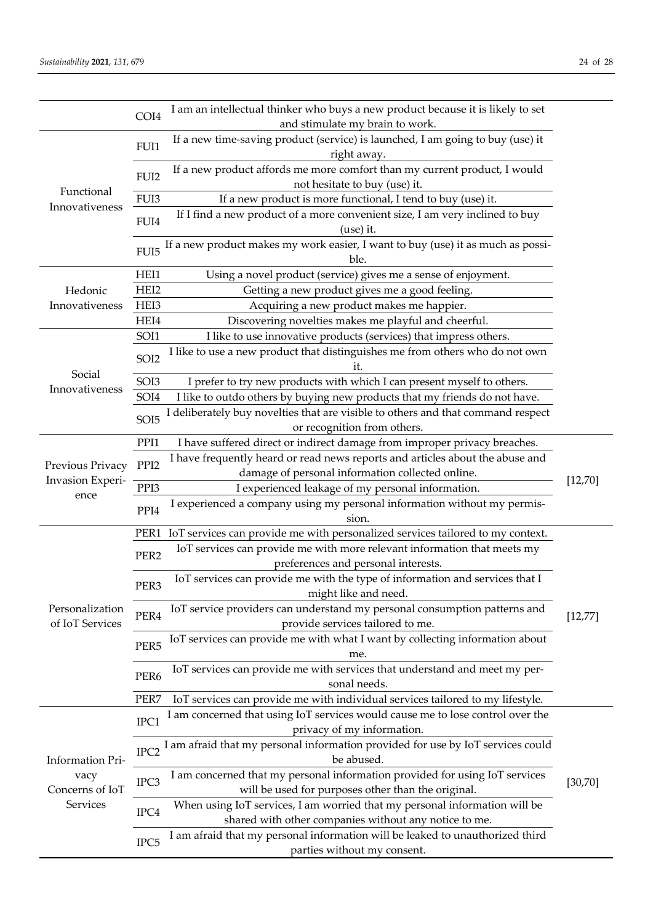| If a new time-saving product (service) is launched, I am going to buy (use) it<br>FUI1<br>right away.<br>If a new product affords me more comfort than my current product, I would<br>FUI <sub>2</sub><br>not hesitate to buy (use) it.<br>Functional<br>FUI3<br>If a new product is more functional, I tend to buy (use) it.<br>Innovativeness<br>If I find a new product of a more convenient size, I am very inclined to buy<br>FUI4<br>(use) it.<br>If a new product makes my work easier, I want to buy (use) it as much as possi-<br>FUI <sub>5</sub><br>ble.<br>HEI1<br>Using a novel product (service) gives me a sense of enjoyment.<br>HEI2<br>Getting a new product gives me a good feeling.<br>Hedonic<br>Innovativeness<br>HEI3<br>Acquiring a new product makes me happier.<br>HEI4<br>Discovering novelties makes me playful and cheerful.<br>SOI1<br>I like to use innovative products (services) that impress others.<br>I like to use a new product that distinguishes me from others who do not own<br>SOI2<br>īt.<br>Social<br>I prefer to try new products with which I can present myself to others.<br>SOI <sub>3</sub><br>Innovativeness<br>SOI4<br>I like to outdo others by buying new products that my friends do not have.<br>I deliberately buy novelties that are visible to others and that command respect<br>SOI <sub>5</sub><br>or recognition from others.<br>PPI1<br>I have suffered direct or indirect damage from improper privacy breaches.<br>I have frequently heard or read news reports and articles about the abuse and<br>PPI <sub>2</sub><br>Previous Privacy<br>damage of personal information collected online.<br>Invasion Experi-<br>[12, 70]<br>PPI3<br>I experienced leakage of my personal information.<br>ence<br>I experienced a company using my personal information without my permis-<br>PPI4<br>sion.<br>IoT services can provide me with personalized services tailored to my context.<br>PER1<br>IoT services can provide me with more relevant information that meets my<br>PER <sub>2</sub><br>preferences and personal interests.<br>IoT services can provide me with the type of information and services that I<br>PER <sub>3</sub><br>might like and need.<br>Personalization<br>IoT service providers can understand my personal consumption patterns and<br>PER4<br>[12, 77]<br>of IoT Services<br>provide services tailored to me.<br>IoT services can provide me with what I want by collecting information about<br>PER <sub>5</sub><br>me.<br>IoT services can provide me with services that understand and meet my per-<br>PER <sub>6</sub> |                                                         | COI4 | I am an intellectual thinker who buys a new product because it is likely to set<br>and stimulate my brain to work. |  |
|------------------------------------------------------------------------------------------------------------------------------------------------------------------------------------------------------------------------------------------------------------------------------------------------------------------------------------------------------------------------------------------------------------------------------------------------------------------------------------------------------------------------------------------------------------------------------------------------------------------------------------------------------------------------------------------------------------------------------------------------------------------------------------------------------------------------------------------------------------------------------------------------------------------------------------------------------------------------------------------------------------------------------------------------------------------------------------------------------------------------------------------------------------------------------------------------------------------------------------------------------------------------------------------------------------------------------------------------------------------------------------------------------------------------------------------------------------------------------------------------------------------------------------------------------------------------------------------------------------------------------------------------------------------------------------------------------------------------------------------------------------------------------------------------------------------------------------------------------------------------------------------------------------------------------------------------------------------------------------------------------------------------------------------------------------------------------------------------------------------------------------------------------------------------------------------------------------------------------------------------------------------------------------------------------------------------------------------------------------------------------------------------------------------------------------------------------------------------------------------------------------------------------------------------------------------------------------------------------------------------|---------------------------------------------------------|------|--------------------------------------------------------------------------------------------------------------------|--|
|                                                                                                                                                                                                                                                                                                                                                                                                                                                                                                                                                                                                                                                                                                                                                                                                                                                                                                                                                                                                                                                                                                                                                                                                                                                                                                                                                                                                                                                                                                                                                                                                                                                                                                                                                                                                                                                                                                                                                                                                                                                                                                                                                                                                                                                                                                                                                                                                                                                                                                                                                                                                                        |                                                         |      |                                                                                                                    |  |
|                                                                                                                                                                                                                                                                                                                                                                                                                                                                                                                                                                                                                                                                                                                                                                                                                                                                                                                                                                                                                                                                                                                                                                                                                                                                                                                                                                                                                                                                                                                                                                                                                                                                                                                                                                                                                                                                                                                                                                                                                                                                                                                                                                                                                                                                                                                                                                                                                                                                                                                                                                                                                        |                                                         |      |                                                                                                                    |  |
|                                                                                                                                                                                                                                                                                                                                                                                                                                                                                                                                                                                                                                                                                                                                                                                                                                                                                                                                                                                                                                                                                                                                                                                                                                                                                                                                                                                                                                                                                                                                                                                                                                                                                                                                                                                                                                                                                                                                                                                                                                                                                                                                                                                                                                                                                                                                                                                                                                                                                                                                                                                                                        |                                                         |      |                                                                                                                    |  |
|                                                                                                                                                                                                                                                                                                                                                                                                                                                                                                                                                                                                                                                                                                                                                                                                                                                                                                                                                                                                                                                                                                                                                                                                                                                                                                                                                                                                                                                                                                                                                                                                                                                                                                                                                                                                                                                                                                                                                                                                                                                                                                                                                                                                                                                                                                                                                                                                                                                                                                                                                                                                                        |                                                         |      |                                                                                                                    |  |
|                                                                                                                                                                                                                                                                                                                                                                                                                                                                                                                                                                                                                                                                                                                                                                                                                                                                                                                                                                                                                                                                                                                                                                                                                                                                                                                                                                                                                                                                                                                                                                                                                                                                                                                                                                                                                                                                                                                                                                                                                                                                                                                                                                                                                                                                                                                                                                                                                                                                                                                                                                                                                        |                                                         |      |                                                                                                                    |  |
|                                                                                                                                                                                                                                                                                                                                                                                                                                                                                                                                                                                                                                                                                                                                                                                                                                                                                                                                                                                                                                                                                                                                                                                                                                                                                                                                                                                                                                                                                                                                                                                                                                                                                                                                                                                                                                                                                                                                                                                                                                                                                                                                                                                                                                                                                                                                                                                                                                                                                                                                                                                                                        |                                                         |      |                                                                                                                    |  |
|                                                                                                                                                                                                                                                                                                                                                                                                                                                                                                                                                                                                                                                                                                                                                                                                                                                                                                                                                                                                                                                                                                                                                                                                                                                                                                                                                                                                                                                                                                                                                                                                                                                                                                                                                                                                                                                                                                                                                                                                                                                                                                                                                                                                                                                                                                                                                                                                                                                                                                                                                                                                                        |                                                         |      |                                                                                                                    |  |
|                                                                                                                                                                                                                                                                                                                                                                                                                                                                                                                                                                                                                                                                                                                                                                                                                                                                                                                                                                                                                                                                                                                                                                                                                                                                                                                                                                                                                                                                                                                                                                                                                                                                                                                                                                                                                                                                                                                                                                                                                                                                                                                                                                                                                                                                                                                                                                                                                                                                                                                                                                                                                        |                                                         |      |                                                                                                                    |  |
|                                                                                                                                                                                                                                                                                                                                                                                                                                                                                                                                                                                                                                                                                                                                                                                                                                                                                                                                                                                                                                                                                                                                                                                                                                                                                                                                                                                                                                                                                                                                                                                                                                                                                                                                                                                                                                                                                                                                                                                                                                                                                                                                                                                                                                                                                                                                                                                                                                                                                                                                                                                                                        |                                                         |      |                                                                                                                    |  |
|                                                                                                                                                                                                                                                                                                                                                                                                                                                                                                                                                                                                                                                                                                                                                                                                                                                                                                                                                                                                                                                                                                                                                                                                                                                                                                                                                                                                                                                                                                                                                                                                                                                                                                                                                                                                                                                                                                                                                                                                                                                                                                                                                                                                                                                                                                                                                                                                                                                                                                                                                                                                                        |                                                         |      |                                                                                                                    |  |
|                                                                                                                                                                                                                                                                                                                                                                                                                                                                                                                                                                                                                                                                                                                                                                                                                                                                                                                                                                                                                                                                                                                                                                                                                                                                                                                                                                                                                                                                                                                                                                                                                                                                                                                                                                                                                                                                                                                                                                                                                                                                                                                                                                                                                                                                                                                                                                                                                                                                                                                                                                                                                        |                                                         |      |                                                                                                                    |  |
|                                                                                                                                                                                                                                                                                                                                                                                                                                                                                                                                                                                                                                                                                                                                                                                                                                                                                                                                                                                                                                                                                                                                                                                                                                                                                                                                                                                                                                                                                                                                                                                                                                                                                                                                                                                                                                                                                                                                                                                                                                                                                                                                                                                                                                                                                                                                                                                                                                                                                                                                                                                                                        |                                                         |      |                                                                                                                    |  |
|                                                                                                                                                                                                                                                                                                                                                                                                                                                                                                                                                                                                                                                                                                                                                                                                                                                                                                                                                                                                                                                                                                                                                                                                                                                                                                                                                                                                                                                                                                                                                                                                                                                                                                                                                                                                                                                                                                                                                                                                                                                                                                                                                                                                                                                                                                                                                                                                                                                                                                                                                                                                                        |                                                         |      |                                                                                                                    |  |
|                                                                                                                                                                                                                                                                                                                                                                                                                                                                                                                                                                                                                                                                                                                                                                                                                                                                                                                                                                                                                                                                                                                                                                                                                                                                                                                                                                                                                                                                                                                                                                                                                                                                                                                                                                                                                                                                                                                                                                                                                                                                                                                                                                                                                                                                                                                                                                                                                                                                                                                                                                                                                        |                                                         |      |                                                                                                                    |  |
|                                                                                                                                                                                                                                                                                                                                                                                                                                                                                                                                                                                                                                                                                                                                                                                                                                                                                                                                                                                                                                                                                                                                                                                                                                                                                                                                                                                                                                                                                                                                                                                                                                                                                                                                                                                                                                                                                                                                                                                                                                                                                                                                                                                                                                                                                                                                                                                                                                                                                                                                                                                                                        |                                                         |      |                                                                                                                    |  |
|                                                                                                                                                                                                                                                                                                                                                                                                                                                                                                                                                                                                                                                                                                                                                                                                                                                                                                                                                                                                                                                                                                                                                                                                                                                                                                                                                                                                                                                                                                                                                                                                                                                                                                                                                                                                                                                                                                                                                                                                                                                                                                                                                                                                                                                                                                                                                                                                                                                                                                                                                                                                                        |                                                         |      |                                                                                                                    |  |
|                                                                                                                                                                                                                                                                                                                                                                                                                                                                                                                                                                                                                                                                                                                                                                                                                                                                                                                                                                                                                                                                                                                                                                                                                                                                                                                                                                                                                                                                                                                                                                                                                                                                                                                                                                                                                                                                                                                                                                                                                                                                                                                                                                                                                                                                                                                                                                                                                                                                                                                                                                                                                        |                                                         |      |                                                                                                                    |  |
|                                                                                                                                                                                                                                                                                                                                                                                                                                                                                                                                                                                                                                                                                                                                                                                                                                                                                                                                                                                                                                                                                                                                                                                                                                                                                                                                                                                                                                                                                                                                                                                                                                                                                                                                                                                                                                                                                                                                                                                                                                                                                                                                                                                                                                                                                                                                                                                                                                                                                                                                                                                                                        |                                                         |      |                                                                                                                    |  |
|                                                                                                                                                                                                                                                                                                                                                                                                                                                                                                                                                                                                                                                                                                                                                                                                                                                                                                                                                                                                                                                                                                                                                                                                                                                                                                                                                                                                                                                                                                                                                                                                                                                                                                                                                                                                                                                                                                                                                                                                                                                                                                                                                                                                                                                                                                                                                                                                                                                                                                                                                                                                                        |                                                         |      |                                                                                                                    |  |
|                                                                                                                                                                                                                                                                                                                                                                                                                                                                                                                                                                                                                                                                                                                                                                                                                                                                                                                                                                                                                                                                                                                                                                                                                                                                                                                                                                                                                                                                                                                                                                                                                                                                                                                                                                                                                                                                                                                                                                                                                                                                                                                                                                                                                                                                                                                                                                                                                                                                                                                                                                                                                        |                                                         |      |                                                                                                                    |  |
|                                                                                                                                                                                                                                                                                                                                                                                                                                                                                                                                                                                                                                                                                                                                                                                                                                                                                                                                                                                                                                                                                                                                                                                                                                                                                                                                                                                                                                                                                                                                                                                                                                                                                                                                                                                                                                                                                                                                                                                                                                                                                                                                                                                                                                                                                                                                                                                                                                                                                                                                                                                                                        |                                                         |      |                                                                                                                    |  |
|                                                                                                                                                                                                                                                                                                                                                                                                                                                                                                                                                                                                                                                                                                                                                                                                                                                                                                                                                                                                                                                                                                                                                                                                                                                                                                                                                                                                                                                                                                                                                                                                                                                                                                                                                                                                                                                                                                                                                                                                                                                                                                                                                                                                                                                                                                                                                                                                                                                                                                                                                                                                                        |                                                         |      |                                                                                                                    |  |
|                                                                                                                                                                                                                                                                                                                                                                                                                                                                                                                                                                                                                                                                                                                                                                                                                                                                                                                                                                                                                                                                                                                                                                                                                                                                                                                                                                                                                                                                                                                                                                                                                                                                                                                                                                                                                                                                                                                                                                                                                                                                                                                                                                                                                                                                                                                                                                                                                                                                                                                                                                                                                        |                                                         |      |                                                                                                                    |  |
|                                                                                                                                                                                                                                                                                                                                                                                                                                                                                                                                                                                                                                                                                                                                                                                                                                                                                                                                                                                                                                                                                                                                                                                                                                                                                                                                                                                                                                                                                                                                                                                                                                                                                                                                                                                                                                                                                                                                                                                                                                                                                                                                                                                                                                                                                                                                                                                                                                                                                                                                                                                                                        |                                                         |      |                                                                                                                    |  |
|                                                                                                                                                                                                                                                                                                                                                                                                                                                                                                                                                                                                                                                                                                                                                                                                                                                                                                                                                                                                                                                                                                                                                                                                                                                                                                                                                                                                                                                                                                                                                                                                                                                                                                                                                                                                                                                                                                                                                                                                                                                                                                                                                                                                                                                                                                                                                                                                                                                                                                                                                                                                                        |                                                         |      |                                                                                                                    |  |
|                                                                                                                                                                                                                                                                                                                                                                                                                                                                                                                                                                                                                                                                                                                                                                                                                                                                                                                                                                                                                                                                                                                                                                                                                                                                                                                                                                                                                                                                                                                                                                                                                                                                                                                                                                                                                                                                                                                                                                                                                                                                                                                                                                                                                                                                                                                                                                                                                                                                                                                                                                                                                        |                                                         |      |                                                                                                                    |  |
|                                                                                                                                                                                                                                                                                                                                                                                                                                                                                                                                                                                                                                                                                                                                                                                                                                                                                                                                                                                                                                                                                                                                                                                                                                                                                                                                                                                                                                                                                                                                                                                                                                                                                                                                                                                                                                                                                                                                                                                                                                                                                                                                                                                                                                                                                                                                                                                                                                                                                                                                                                                                                        |                                                         |      |                                                                                                                    |  |
|                                                                                                                                                                                                                                                                                                                                                                                                                                                                                                                                                                                                                                                                                                                                                                                                                                                                                                                                                                                                                                                                                                                                                                                                                                                                                                                                                                                                                                                                                                                                                                                                                                                                                                                                                                                                                                                                                                                                                                                                                                                                                                                                                                                                                                                                                                                                                                                                                                                                                                                                                                                                                        |                                                         |      |                                                                                                                    |  |
|                                                                                                                                                                                                                                                                                                                                                                                                                                                                                                                                                                                                                                                                                                                                                                                                                                                                                                                                                                                                                                                                                                                                                                                                                                                                                                                                                                                                                                                                                                                                                                                                                                                                                                                                                                                                                                                                                                                                                                                                                                                                                                                                                                                                                                                                                                                                                                                                                                                                                                                                                                                                                        |                                                         |      |                                                                                                                    |  |
|                                                                                                                                                                                                                                                                                                                                                                                                                                                                                                                                                                                                                                                                                                                                                                                                                                                                                                                                                                                                                                                                                                                                                                                                                                                                                                                                                                                                                                                                                                                                                                                                                                                                                                                                                                                                                                                                                                                                                                                                                                                                                                                                                                                                                                                                                                                                                                                                                                                                                                                                                                                                                        |                                                         |      | sonal needs.                                                                                                       |  |
| PER7<br>IoT services can provide me with individual services tailored to my lifestyle.                                                                                                                                                                                                                                                                                                                                                                                                                                                                                                                                                                                                                                                                                                                                                                                                                                                                                                                                                                                                                                                                                                                                                                                                                                                                                                                                                                                                                                                                                                                                                                                                                                                                                                                                                                                                                                                                                                                                                                                                                                                                                                                                                                                                                                                                                                                                                                                                                                                                                                                                 |                                                         |      |                                                                                                                    |  |
| I am concerned that using IoT services would cause me to lose control over the                                                                                                                                                                                                                                                                                                                                                                                                                                                                                                                                                                                                                                                                                                                                                                                                                                                                                                                                                                                                                                                                                                                                                                                                                                                                                                                                                                                                                                                                                                                                                                                                                                                                                                                                                                                                                                                                                                                                                                                                                                                                                                                                                                                                                                                                                                                                                                                                                                                                                                                                         |                                                         |      |                                                                                                                    |  |
| IPC1<br>privacy of my information.                                                                                                                                                                                                                                                                                                                                                                                                                                                                                                                                                                                                                                                                                                                                                                                                                                                                                                                                                                                                                                                                                                                                                                                                                                                                                                                                                                                                                                                                                                                                                                                                                                                                                                                                                                                                                                                                                                                                                                                                                                                                                                                                                                                                                                                                                                                                                                                                                                                                                                                                                                                     | Information Pri-<br>vacy<br>Concerns of IoT<br>Services |      |                                                                                                                    |  |
| I am afraid that my personal information provided for use by IoT services could                                                                                                                                                                                                                                                                                                                                                                                                                                                                                                                                                                                                                                                                                                                                                                                                                                                                                                                                                                                                                                                                                                                                                                                                                                                                                                                                                                                                                                                                                                                                                                                                                                                                                                                                                                                                                                                                                                                                                                                                                                                                                                                                                                                                                                                                                                                                                                                                                                                                                                                                        |                                                         |      |                                                                                                                    |  |
| IPC <sub>2</sub><br>be abused.                                                                                                                                                                                                                                                                                                                                                                                                                                                                                                                                                                                                                                                                                                                                                                                                                                                                                                                                                                                                                                                                                                                                                                                                                                                                                                                                                                                                                                                                                                                                                                                                                                                                                                                                                                                                                                                                                                                                                                                                                                                                                                                                                                                                                                                                                                                                                                                                                                                                                                                                                                                         |                                                         |      |                                                                                                                    |  |
| I am concerned that my personal information provided for using IoT services                                                                                                                                                                                                                                                                                                                                                                                                                                                                                                                                                                                                                                                                                                                                                                                                                                                                                                                                                                                                                                                                                                                                                                                                                                                                                                                                                                                                                                                                                                                                                                                                                                                                                                                                                                                                                                                                                                                                                                                                                                                                                                                                                                                                                                                                                                                                                                                                                                                                                                                                            |                                                         |      |                                                                                                                    |  |
| IPC3<br>[30, 70]<br>will be used for purposes other than the original.                                                                                                                                                                                                                                                                                                                                                                                                                                                                                                                                                                                                                                                                                                                                                                                                                                                                                                                                                                                                                                                                                                                                                                                                                                                                                                                                                                                                                                                                                                                                                                                                                                                                                                                                                                                                                                                                                                                                                                                                                                                                                                                                                                                                                                                                                                                                                                                                                                                                                                                                                 |                                                         |      |                                                                                                                    |  |
| When using IoT services, I am worried that my personal information will be                                                                                                                                                                                                                                                                                                                                                                                                                                                                                                                                                                                                                                                                                                                                                                                                                                                                                                                                                                                                                                                                                                                                                                                                                                                                                                                                                                                                                                                                                                                                                                                                                                                                                                                                                                                                                                                                                                                                                                                                                                                                                                                                                                                                                                                                                                                                                                                                                                                                                                                                             |                                                         |      |                                                                                                                    |  |
| $_{\mathrm{IPC4}}$<br>shared with other companies without any notice to me.                                                                                                                                                                                                                                                                                                                                                                                                                                                                                                                                                                                                                                                                                                                                                                                                                                                                                                                                                                                                                                                                                                                                                                                                                                                                                                                                                                                                                                                                                                                                                                                                                                                                                                                                                                                                                                                                                                                                                                                                                                                                                                                                                                                                                                                                                                                                                                                                                                                                                                                                            |                                                         |      |                                                                                                                    |  |
| I am afraid that my personal information will be leaked to unauthorized third<br>IPC <sub>5</sub><br>parties without my consent.                                                                                                                                                                                                                                                                                                                                                                                                                                                                                                                                                                                                                                                                                                                                                                                                                                                                                                                                                                                                                                                                                                                                                                                                                                                                                                                                                                                                                                                                                                                                                                                                                                                                                                                                                                                                                                                                                                                                                                                                                                                                                                                                                                                                                                                                                                                                                                                                                                                                                       |                                                         |      |                                                                                                                    |  |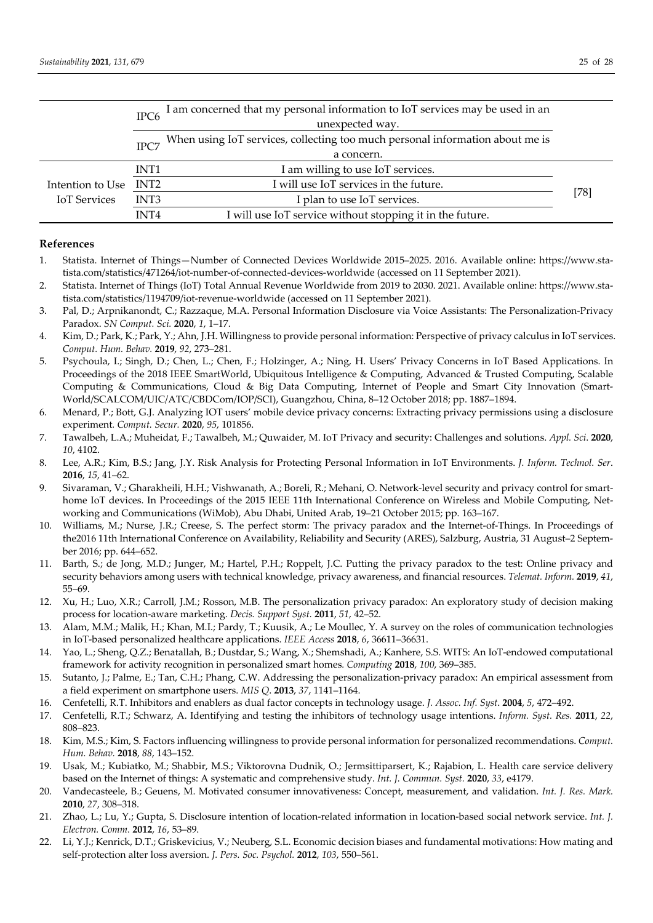|                     | I am concerned that my personal information to IoT services may be used in an<br>IPC <sub>6</sub> |                                                                               |        |
|---------------------|---------------------------------------------------------------------------------------------------|-------------------------------------------------------------------------------|--------|
|                     | unexpected way.                                                                                   |                                                                               |        |
|                     | IPC7                                                                                              | When using IoT services, collecting too much personal information about me is |        |
|                     |                                                                                                   | a concern.                                                                    |        |
|                     | INT <sub>1</sub>                                                                                  | I am willing to use IoT services.                                             |        |
| Intention to Use    | INT2                                                                                              | I will use IoT services in the future.                                        |        |
| <b>IoT</b> Services | INT <sub>3</sub>                                                                                  | I plan to use IoT services.                                                   | $[78]$ |
|                     | INT4                                                                                              | I will use IoT service without stopping it in the future.                     |        |

# **References**

- 1. Statista. Internet of Things—Number of Connected Devices Worldwide 2015–2025. 2016. Available online: https://www.sta‐ tista.com/statistics/471264/iot-number-of-connected-devices-worldwide (accessed on 11 September 2021).
- 2. Statista. Internet of Things (IoT) Total Annual Revenue Worldwide from 2019 to 2030. 2021. Available online: https://www.sta‐ tista.com/statistics/1194709/iot-revenue-worldwide (accessed on 11 September 2021).
- 3. Pal, D.; Arpnikanondt, C.; Razzaque, M.A. Personal Information Disclosure via Voice Assistants: The Personalization‐Privacy Paradox. *SN Comput. Sci.* **2020**, *1*, 1–17.
- 4. Kim, D.; Park, K.; Park, Y.; Ahn, J.H. Willingness to provide personal information: Perspective of privacy calculus in IoT services. *Comput. Hum. Behav.* **2019**, *92*, 273–281.
- 5. Psychoula, I.; Singh, D.; Chen, L.; Chen, F.; Holzinger, A.; Ning, H. Users' Privacy Concerns in IoT Based Applications. In Proceedings of the 2018 IEEE SmartWorld, Ubiquitous Intelligence & Computing, Advanced & Trusted Computing, Scalable Computing & Communications, Cloud & Big Data Computing, Internet of People and Smart City Innovation (Smart‐ World/SCALCOM/UIC/ATC/CBDCom/IOP/SCI), Guangzhou, China, 8–12 October 2018; pp. 1887–1894.
- 6. Menard, P.; Bott, G.J. Analyzing IOT users' mobile device privacy concerns: Extracting privacy permissions using a disclosure experiment*. Comput. Secur.* **2020**, *95*, 101856.
- 7. Tawalbeh, L.A.; Muheidat, F.; Tawalbeh, M.; Quwaider, M. IoT Privacy and security: Challenges and solutions. *Appl. Sci*. **2020**, *10*, 4102.
- 8. Lee, A.R.; Kim, B.S.; Jang, J.Y. Risk Analysis for Protecting Personal Information in IoT Environments. *J. Inform. Technol. Ser*. **2016**, *15*, 41–62.
- 9. Sivaraman, V.; Gharakheili, H.H.; Vishwanath, A.; Boreli, R.; Mehani, O. Network-level security and privacy control for smarthome IoT devices. In Proceedings of the 2015 IEEE 11th International Conference on Wireless and Mobile Computing, Networking and Communications (WiMob), Abu Dhabi, United Arab, 19–21 October 2015; pp. 163–167.
- 10. Williams, M.; Nurse, J.R.; Creese, S. The perfect storm: The privacy paradox and the Internet‐of‐Things. In Proceedings of the2016 11th International Conference on Availability, Reliability and Security (ARES), Salzburg, Austria, 31 August–2 September 2016; pp. 644–652.
- 11. Barth, S.; de Jong, M.D.; Junger, M.; Hartel, P.H.; Roppelt, J.C. Putting the privacy paradox to the test: Online privacy and security behaviors among users with technical knowledge, privacy awareness, and financial resources. *Telemat. Inform.* **2019**, *41*, 55–69.
- 12. Xu, H.; Luo, X.R.; Carroll, J.M.; Rosson, M.B. The personalization privacy paradox: An exploratory study of decision making process for location‐aware marketing. *Decis. Support Syst.* **2011**, *51*, 42–52.
- 13. Alam, M.M.; Malik, H.; Khan, M.I.; Pardy, T.; Kuusik, A.; Le Moullec, Y. A survey on the roles of communication technologies in IoT‐based personalized healthcare applications. *IEEE Access* **2018**, *6*, 36611–36631.
- 14. Yao, L.; Sheng, Q.Z.; Benatallah, B.; Dustdar, S.; Wang, X.; Shemshadi, A.; Kanhere, S.S. WITS: An IoT‐endowed computational framework for activity recognition in personalized smart homes*. Computing* **2018**, *100*, 369–385.
- 15. Sutanto, J.; Palme, E.; Tan, C.H.; Phang, C.W. Addressing the personalization-privacy paradox: An empirical assessment from a field experiment on smartphone users. *MIS Q*. **2013**, *37*, 1141–1164.
- 16. Cenfetelli, R.T. Inhibitors and enablers as dual factor concepts in technology usage. *J. Assoc. Inf. Syst*. **2004**, *5*, 472–492.
- 17. Cenfetelli, R.T.; Schwarz, A. Identifying and testing the inhibitors of technology usage intentions. *Inform. Syst. Res.* **2011**, *22*, 808–823.
- 18. Kim, M.S.; Kim, S. Factors influencing willingness to provide personal information for personalized recommendations. *Comput. Hum. Behav.* **2018**, *88*, 143–152.
- 19. Usak, M.; Kubiatko, M.; Shabbir, M.S.; Viktorovna Dudnik, O.; Jermsittiparsert, K.; Rajabion, L. Health care service delivery based on the Internet of things: A systematic and comprehensive study. *Int. J. Commun. Syst.* **2020**, *33*, e4179.
- 20. Vandecasteele, B.; Geuens, M. Motivated consumer innovativeness: Concept, measurement, and validation. *Int. J. Res. Mark.* **2010**, *27*, 308–318.
- 21. Zhao, L.; Lu, Y.; Gupta, S. Disclosure intention of location‐related information in location‐based social network service. *Int. J. Electron. Comm.* **2012**, *16*, 53–89.
- 22. Li, Y.J.; Kenrick, D.T.; Griskevicius, V.; Neuberg, S.L. Economic decision biases and fundamental motivations: How mating and self‐protection alter loss aversion. *J. Pers. Soc. Psychol.* **2012**, *103*, 550–561.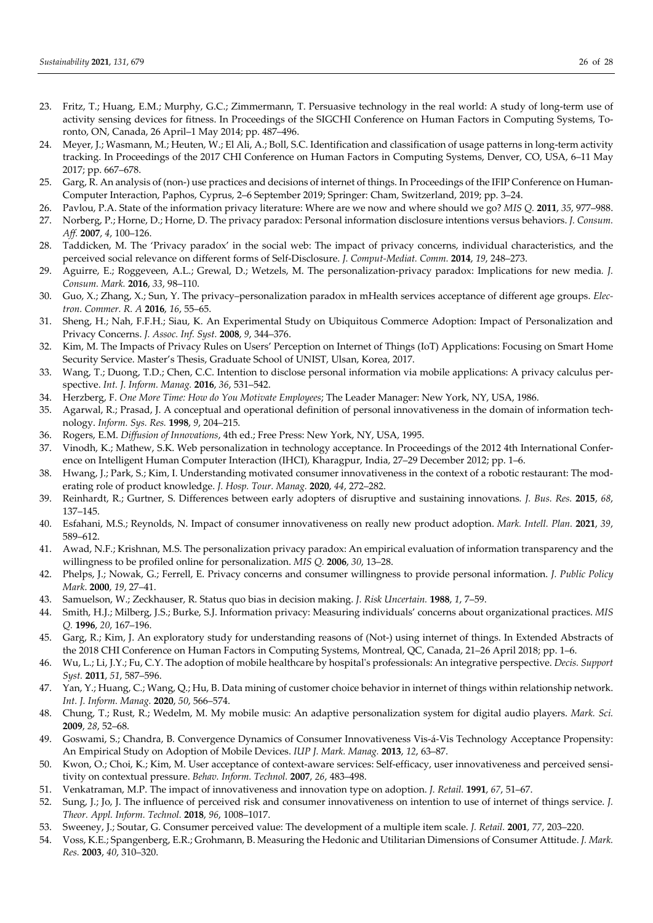- 23. Fritz, T.; Huang, E.M.; Murphy, G.C.; Zimmermann, T. Persuasive technology in the real world: A study of long‐term use of activity sensing devices for fitness. In Proceedings of the SIGCHI Conference on Human Factors in Computing Systems, To‐ ronto, ON, Canada, 26 April–1 May 2014; pp. 487–496.
- 24. Meyer, J.; Wasmann, M.; Heuten, W.; El Ali, A.; Boll, S.C. Identification and classification of usage patterns in long‐term activity tracking. In Proceedings of the 2017 CHI Conference on Human Factors in Computing Systems, Denver, CO, USA, 6–11 May 2017; pp. 667–678.
- 25. Garg, R. An analysis of (non-) use practices and decisions of internet of things. In Proceedings of the IFIP Conference on Human-Computer Interaction, Paphos, Cyprus, 2–6 September 2019; Springer: Cham, Switzerland, 2019; pp. 3–24.
- 26. Pavlou, P.A. State of the information privacy literature: Where are we now and where should we go? *MIS Q.* **2011**, *35*, 977–988.
- 27. Norberg, P.; Horne, D.; Horne, D. The privacy paradox: Personal information disclosure intentions versus behaviors. *J. Consum. Aff.* **2007**, *4*, 100–126.
- 28. Taddicken, M. The 'Privacy paradox' in the social web: The impact of privacy concerns, individual characteristics, and the perceived social relevance on different forms of Self‐Disclosure. *J. Comput‐Mediat. Comm.* **2014**, *19*, 248–273.
- 29. Aguirre, E.; Roggeveen, A.L.; Grewal, D.; Wetzels, M. The personalization‐privacy paradox: Implications for new media*. J. Consum. Mark.* **2016**, *33*, 98–110.
- 30. Guo, X.; Zhang, X.; Sun, Y. The privacy–personalization paradox in mHealth services acceptance of different age groups. *Elec‐ tron. Commer. R. A* **2016**, *16*, 55–65.
- 31. Sheng, H.; Nah, F.F.H.; Siau, K. An Experimental Study on Ubiquitous Commerce Adoption: Impact of Personalization and Privacy Concerns. *J. Assoc. Inf. Syst.* **2008**, *9*, 344–376.
- 32. Kim, M. The Impacts of Privacy Rules on Users' Perception on Internet of Things (IoT) Applications: Focusing on Smart Home Security Service. Master's Thesis, Graduate School of UNIST, Ulsan, Korea, 2017.
- 33. Wang, T.; Duong, T.D.; Chen, C.C. Intention to disclose personal information via mobile applications: A privacy calculus per‐ spective. *Int. J. Inform. Manag.* **2016**, *36*, 531–542.
- 34. Herzberg, F. *One More Time: How do You Motivate Employees*; The Leader Manager: New York, NY, USA, 1986.
- 35. Agarwal, R.; Prasad, J. A conceptual and operational definition of personal innovativeness in the domain of information tech‐ nology. *Inform. Sys. Res.* **1998**, *9*, 204–215.
- 36. Rogers, E.M. *Diffusion of Innovations*, 4th ed.; Free Press: New York, NY, USA, 1995.
- 37. Vinodh, K.; Mathew, S.K. Web personalization in technology acceptance. In Proceedings of the 2012 4th International Confer‐ ence on Intelligent Human Computer Interaction (IHCI), Kharagpur, India, 27–29 December 2012; pp. 1–6.
- 38. Hwang, J.; Park, S.; Kim, I. Understanding motivated consumer innovativeness in the context of a robotic restaurant: The mod‐ erating role of product knowledge. *J. Hosp. Tour. Manag.* **2020**, *44*, 272–282.
- 39. Reinhardt, R.; Gurtner, S. Differences between early adopters of disruptive and sustaining innovations*. J. Bus. Res.* **2015**, *68*, 137–145.
- 40. Esfahani, M.S.; Reynolds, N. Impact of consumer innovativeness on really new product adoption. *Mark. Intell. Plan.* **2021**, *39*, 589–612.
- 41. Awad, N.F.; Krishnan, M.S. The personalization privacy paradox: An empirical evaluation of information transparency and the willingness to be profiled online for personalization. *MIS Q.* **2006**, *30*, 13–28.
- 42. Phelps, J.; Nowak, G.; Ferrell, E. Privacy concerns and consumer willingness to provide personal information. *J. Public Policy Mark*. **2000**, *19*, 27–41.
- 43. Samuelson, W.; Zeckhauser, R. Status quo bias in decision making. *J. Risk Uncertain.* **1988**, *1*, 7–59.
- 44. Smith, H.J.; Milberg, J.S.; Burke, S.J. Information privacy: Measuring individuals' concerns about organizational practices. *MIS Q.* **1996**, *20*, 167–196.
- 45. Garg, R.; Kim, J. An exploratory study for understanding reasons of (Not-) using internet of things. In Extended Abstracts of the 2018 CHI Conference on Human Factors in Computing Systems, Montreal, QC, Canada, 21–26 April 2018; pp. 1–6.
- 46. Wu, L.; Li, J.Y.; Fu, C.Y. The adoption of mobile healthcare by hospitalʹs professionals: An integrative perspective. *Decis. Support Syst.* **2011**, *51*, 587–596.
- 47. Yan, Y.; Huang, C.; Wang, Q.; Hu, B. Data mining of customer choice behavior in internet of things within relationship network. *Int. J. Inform. Manag.* **2020**, *50*, 566–574.
- 48. Chung, T.; Rust, R.; Wedelm, M. My mobile music: An adaptive personalization system for digital audio players. *Mark. Sci.* **2009**, *28*, 52–68.
- 49. Goswami, S.; Chandra, B. Convergence Dynamics of Consumer Innovativeness Vis‐á‐Vis Technology Acceptance Propensity: An Empirical Study on Adoption of Mobile Devices. *IUP J. Mark. Manag.* **2013**, *12*, 63–87.
- 50. Kwon, O.; Choi, K.; Kim, M. User acceptance of context-aware services: Self-efficacy, user innovativeness and perceived sensitivity on contextual pressure. *Behav. Inform. Technol.* **2007**, *26*, 483–498.
- 51. Venkatraman, M.P. The impact of innovativeness and innovation type on adoption. *J. Retail.* **1991**, *67*, 51–67.
- 52. Sung, J.; Jo, J. The influence of perceived risk and consumer innovativeness on intention to use of internet of things service. *J. Theor. Appl. Inform. Technol.* **2018**, *96*, 1008–1017.
- 53. Sweeney, J.; Soutar, G. Consumer perceived value: The development of a multiple item scale. *J. Retail.* **2001**, *77*, 203–220.
- 54. Voss, K.E.; Spangenberg, E.R.; Grohmann, B. Measuring the Hedonic and Utilitarian Dimensions of Consumer Attitude. *J. Mark. Res.* **2003**, *40*, 310–320.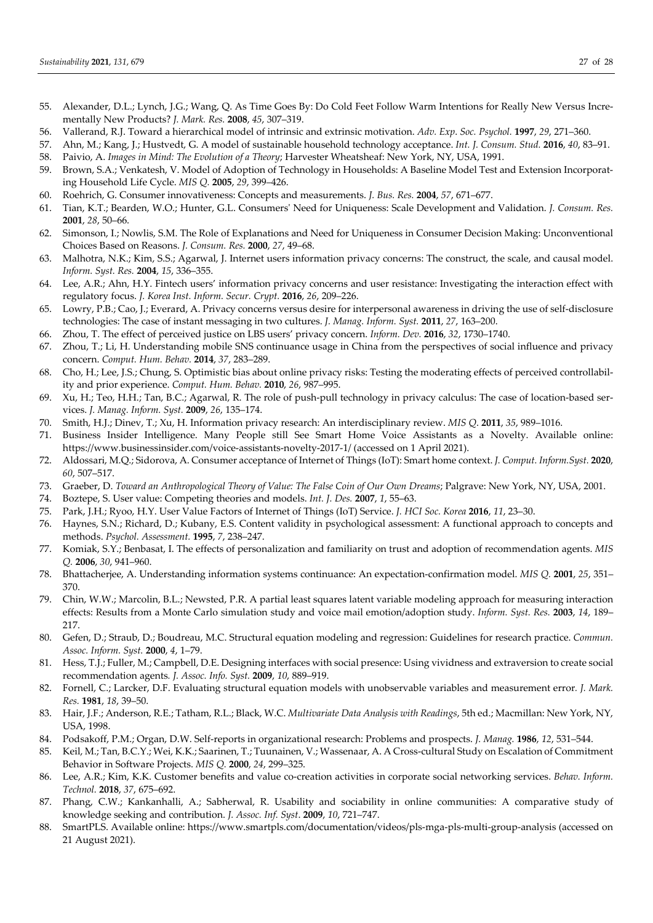- 55. Alexander, D.L.; Lynch, J.G.; Wang, Q. As Time Goes By: Do Cold Feet Follow Warm Intentions for Really New Versus Incrementally New Products? *J. Mark. Res.* **2008**, *45*, 307–319.
- 56. Vallerand, R.J. Toward a hierarchical model of intrinsic and extrinsic motivation. *Adv. Exp*. *Soc. Psychol.* **1997**, *29*, 271–360.
- 57. Ahn, M.; Kang, J.; Hustvedt, G. A model of sustainable household technology acceptance. *Int. J. Consum. Stud.* **2016**, *40*, 83–91. 58. Paivio, A. *Images in Mind: The Evolution of a Theory*; Harvester Wheatsheaf: New York, NY, USA, 1991.
- 59. Brown, S.A.; Venkatesh, V. Model of Adoption of Technology in Households: A Baseline Model Test and Extension Incorporating Household Life Cycle. *MIS Q.* **2005**, *29*, 399–426.
- 60. Roehrich, G. Consumer innovativeness: Concepts and measurements. *J. Bus. Res.* **2004**, *57*, 671–677.
- 61. Tian, K.T.; Bearden, W.O.; Hunter, G.L. Consumersʹ Need for Uniqueness: Scale Development and Validation. *J. Consum. Res.* **2001**, *28*, 50–66.
- 62. Simonson, I.; Nowlis, S.M. The Role of Explanations and Need for Uniqueness in Consumer Decision Making: Unconventional Choices Based on Reasons. *J. Consum. Res.* **2000**, *27*, 49–68.
- 63. Malhotra, N.K.; Kim, S.S.; Agarwal, J. Internet users information privacy concerns: The construct, the scale, and causal model. *Inform. Syst. Res.* **2004**, *15*, 336–355.
- 64. Lee, A.R.; Ahn, H.Y. Fintech users' information privacy concerns and user resistance: Investigating the interaction effect with regulatory focus. *J. Korea Inst. Inform. Secur. Crypt.* **2016**, *26*, 209–226.
- 65. Lowry, P.B.; Cao, J.; Everard, A. Privacy concerns versus desire for interpersonal awareness in driving the use of self‐disclosure technologies: The case of instant messaging in two cultures. *J. Manag. Inform. Syst.* **2011**, *27*, 163–200.
- 66. Zhou, T. The effect of perceived justice on LBS users' privacy concern. *Inform. Dev.* **2016**, *32*, 1730–1740.
- 67. Zhou, T.; Li, H. Understanding mobile SNS continuance usage in China from the perspectives of social influence and privacy concern. *Comput. Hum. Behav.* **2014**, *37*, 283–289.
- 68. Cho, H.; Lee, J.S.; Chung, S. Optimistic bias about online privacy risks: Testing the moderating effects of perceived controllabil‐ ity and prior experience. *Comput. Hum. Behav.* **2010**, *26*, 987–995.
- 69. Xu, H.; Teo, H.H.; Tan, B.C.; Agarwal, R. The role of push-pull technology in privacy calculus: The case of location-based services. *J. Manag. Inform. Syst.* **2009**, *26*, 135–174.
- 70. Smith, H.J.; Dinev, T.; Xu, H. Information privacy research: An interdisciplinary review. *MIS Q*. **2011**, *35*, 989–1016.
- 71. Business Insider Intelligence. Many People still See Smart Home Voice Assistants as a Novelty. Available online: https://www.businessinsider.com/voice-assistants-novelty-2017-1/ (accessed on 1 April 2021).
- 72. Aldossari, M.Q.; Sidorova, A. Consumer acceptance of Internet of Things (IoT): Smart home context. *J. Comput. Inform.Syst.* **2020**, *60*, 507–517.
- 73. Graeber, D. *Toward an Anthropological Theory of Value: The False Coin of Our Own Dreams*; Palgrave: New York, NY, USA, 2001.
- 74. Boztepe, S. User value: Competing theories and models. *Int. J. Des.* **2007**, *1*, 55–63.
- 75. Park, J.H.; Ryoo, H.Y. User Value Factors of Internet of Things (IoT) Service. *J. HCI Soc. Korea* **2016**, *11*, 23–30.
- 76. Haynes, S.N.; Richard, D.; Kubany, E.S. Content validity in psychological assessment: A functional approach to concepts and methods. *Psychol. Assessment.* **1995**, *7*, 238–247.
- 77. Komiak, S.Y.; Benbasat, I. The effects of personalization and familiarity on trust and adoption of recommendation agents. *MIS Q.* **2006**, *30*, 941–960.
- 78. Bhattacherjee, A. Understanding information systems continuance: An expectation‐confirmation model. *MIS Q.* **2001**, *25*, 351– 370.
- 79. Chin, W.W.; Marcolin, B.L.; Newsted, P.R. A partial least squares latent variable modeling approach for measuring interaction effects: Results from a Monte Carlo simulation study and voice mail emotion/adoption study. *Inform. Syst. Res.* **2003**, *14*, 189– 217.
- 80. Gefen, D.; Straub, D.; Boudreau, M.C. Structural equation modeling and regression: Guidelines for research practice. *Commun. Assoc. Inform. Syst.* **2000**, *4*, 1–79.
- 81. Hess, T.J.; Fuller, M.; Campbell, D.E. Designing interfaces with social presence: Using vividness and extraversion to create social recommendation agents*. J. Assoc. Info. Syst.* **2009**, *10*, 889–919.
- 82. Fornell, C.; Larcker, D.F. Evaluating structural equation models with unobservable variables and measurement error*. J. Mark. Res.* **1981**, *18*, 39–50.
- 83. Hair, J.F.; Anderson, R.E.; Tatham, R.L.; Black, W.C. *Multivariate Data Analysis with Readings*, 5th ed.; Macmillan: New York, NY, USA, 1998.
- 84. Podsakoff, P.M.; Organ, D.W. Self‐reports in organizational research: Problems and prospects. *J. Manag.* **1986**, *12*, 531–544.
- 85. Keil, M.; Tan, B.C.Y.; Wei, K.K.; Saarinen, T.; Tuunainen, V.; Wassenaar, A. A Cross‐cultural Study on Escalation of Commitment Behavior in Software Projects. *MIS Q.* **2000**, *24*, 299–325.
- 86. Lee, A.R.; Kim, K.K. Customer benefits and value co‐creation activities in corporate social networking services. *Behav. Inform. Technol.* **2018**, *37*, 675–692.
- 87. Phang, C.W.; Kankanhalli, A.; Sabherwal, R. Usability and sociability in online communities: A comparative study of knowledge seeking and contribution. *J. Assoc. Inf. Syst*. **2009**, *10*, 721–747.
- 88. SmartPLS. Available online: https://www.smartpls.com/documentation/videos/pls-mga-pls-multi-group-analysis (accessed on 21 August 2021).